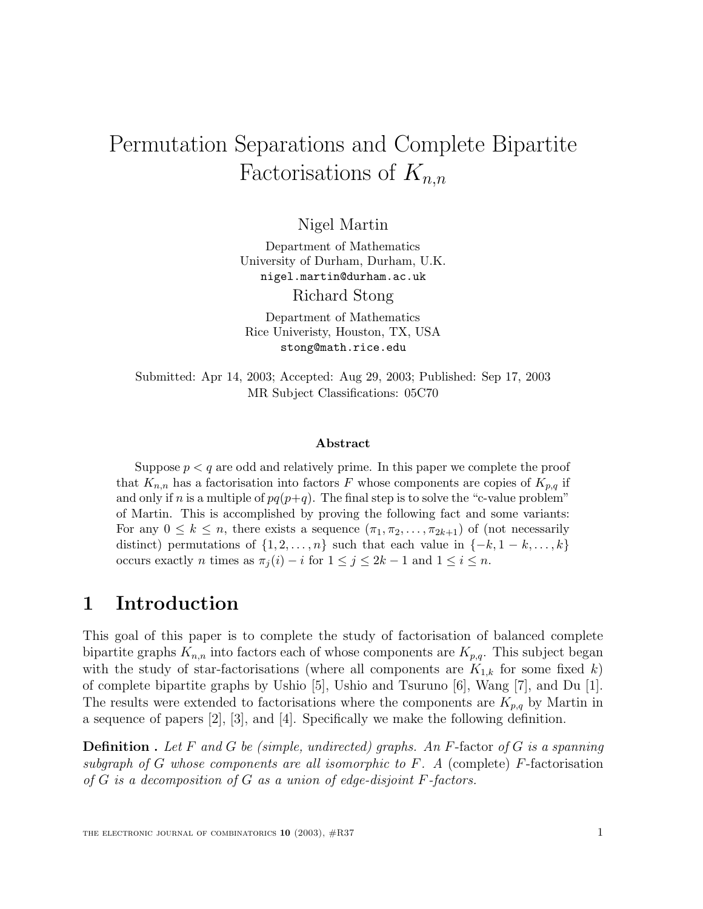# Permutation Separations and Complete Bipartite Factorisations of  $K_{n,n}$

Nigel Martin

Department of Mathematics University of Durham, Durham, U.K. nigel.martin@durham.ac.uk Richard Stong

Department of Mathematics Rice Univeristy, Houston, TX, USA stong@math.rice.edu

Submitted: Apr 14, 2003; Accepted: Aug 29, 2003; Published: Sep 17, 2003 MR Subject Classifications: 05C70

#### **Abstract**

Suppose  $p < q$  are odd and relatively prime. In this paper we complete the proof that  $K_{n,n}$  has a factorisation into factors F whose components are copies of  $K_{p,q}$  if and only if n is a multiple of  $pq(p+q)$ . The final step is to solve the "c-value problem" of Martin. This is accomplished by proving the following fact and some variants: For any  $0 \leq k \leq n$ , there exists a sequence  $(\pi_1, \pi_2, \ldots, \pi_{2k+1})$  of (not necessarily distinct) permutations of  $\{1, 2, \ldots, n\}$  such that each value in  $\{-k, 1 - k, \ldots, k\}$ occurs exactly *n* times as  $\pi_j(i) - i$  for  $1 \leq j \leq 2k - 1$  and  $1 \leq i \leq n$ .

#### **1 Introduction**

This goal of this paper is to complete the study of factorisation of balanced complete bipartite graphs  $K_{n,n}$  into factors each of whose components are  $K_{p,q}$ . This subject began with the study of star-factorisations (where all components are  $K_{1,k}$  for some fixed k) of complete bipartite graphs by Ushio [5], Ushio and Tsuruno [6], Wang [7], and Du [1]. The results were extended to factorisations where the components are  $K_{p,q}$  by Martin in a sequence of papers [2], [3], and [4]. Specifically we make the following definition.

**Definition** . Let F and G be (simple, undirected) graphs. An F-factor of G is a spanning subgraph of G whose components are all isomorphic to  $F$ . A (complete) F-factorisation of  $G$  is a decomposition of  $G$  as a union of edge-disjoint  $F$ -factors.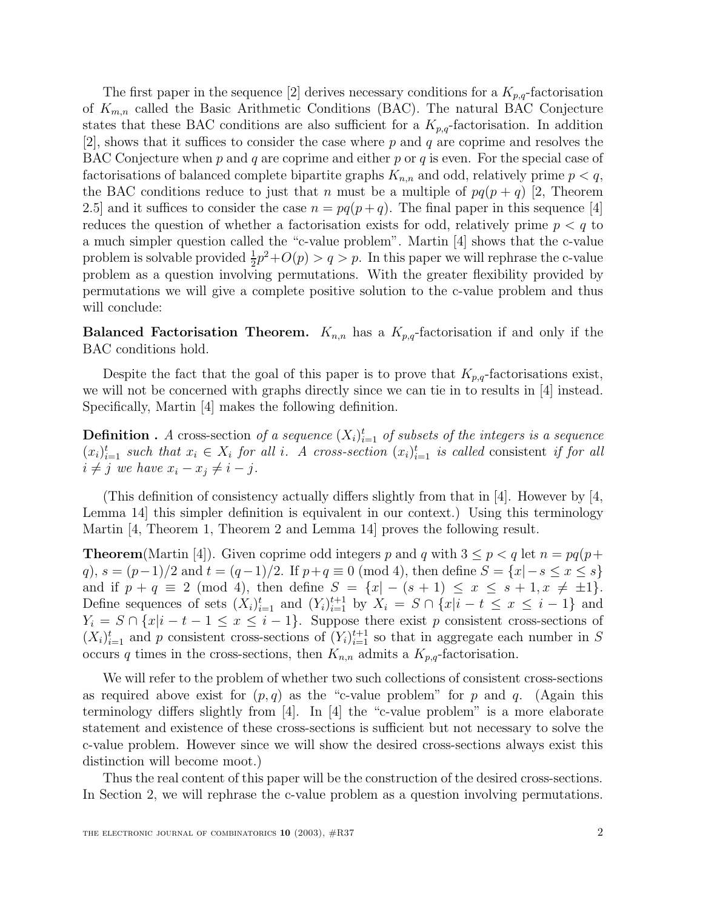The first paper in the sequence [2] derives necessary conditions for a  $K_{p,q}$ -factorisation of  $K_{m,n}$  called the Basic Arithmetic Conditions (BAC). The natural BAC Conjecture states that these BAC conditions are also sufficient for a  $K_{p,q}$ -factorisation. In addition  $[2]$ , shows that it suffices to consider the case where p and q are coprime and resolves the BAC Conjecture when p and q are coprime and either p or q is even. For the special case of factorisations of balanced complete bipartite graphs  $K_{n,n}$  and odd, relatively prime  $p < q$ , the BAC conditions reduce to just that n must be a multiple of  $pq(p+q)$  [2, Theorem 2.5] and it suffices to consider the case  $n = pq(p+q)$ . The final paper in this sequence [4] reduces the question of whether a factorisation exists for odd, relatively prime  $p < q$  to a much simpler question called the "c-value problem". Martin [4] shows that the c-value problem is solvable provided  $\frac{1}{2}p^2+O(p) > q > p$ . In this paper we will rephrase the c-value problem as a question involving permutations. With the greater flexibility provided by permutations we will give a complete positive solution to the c-value problem and thus will conclude:

**Balanced Factorisation Theorem.**  $K_{n,n}$  has a  $K_{p,q}$ -factorisation if and only if the BAC conditions hold.

Despite the fact that the goal of this paper is to prove that  $K_{p,q}$ -factorisations exist, we will not be concerned with graphs directly since we can tie in to results in [4] instead. Specifically, Martin [4] makes the following definition.

**Definition** . A cross-section of a sequence  $(X_i)_{i=1}^t$  of subsets of the integers is a sequence  $(x_i)_{i=1}^t$  such that  $x_i \in X_i$  for all i. A cross-section  $(x_i)_{i=1}^t$  is called consistent if for all  $i \neq j$  we have  $x_i - x_j \neq i - j$ .

(This definition of consistency actually differs slightly from that in  $[4]$ . However by  $[4]$ , Lemma 14] this simpler definition is equivalent in our context.) Using this terminology Martin [4, Theorem 1, Theorem 2 and Lemma 14] proves the following result.

**Theorem**(Martin [4]). Given coprime odd integers p and q with  $3 \leq p < q$  let  $n = pq(p+q)$ q),  $s = (p-1)/2$  and  $t = (q-1)/2$ . If  $p+q \equiv 0 \pmod{4}$ , then define  $S = \{x | -s \le x \le s\}$ and if  $p + q \equiv 2 \pmod{4}$ , then define  $S = \{x | -(s + 1) \le x \le s + 1, x \neq \pm 1\}.$ Define sequences of sets  $(X_i)_{i=1}^t$  and  $(Y_i)_{i=1}^{t+1}$  by  $X_i = S \cap \{x|i-t \leq x \leq i-1\}$  and  $Y_i = S \cap \{x|i - t - 1 \leq x \leq i - 1\}.$  Suppose there exist p consistent cross-sections of  $(X_i)_{i=1}^t$  and p consistent cross-sections of  $(Y_i)_{i=1}^{t+1}$  so that in aggregate each number in S occurs q times in the cross-sections, then  $K_{n,n}$  admits a  $K_{p,q}$ -factorisation.

We will refer to the problem of whether two such collections of consistent cross-sections as required above exist for  $(p, q)$  as the "c-value problem" for p and q. (Again this terminology differs slightly from [4]. In [4] the "c-value problem" is a more elaborate statement and existence of these cross-sections is sufficient but not necessary to solve the c-value problem. However since we will show the desired cross-sections always exist this distinction will become moot.)

Thus the real content of this paper will be the construction of the desired cross-sections. In Section 2, we will rephrase the c-value problem as a question involving permutations.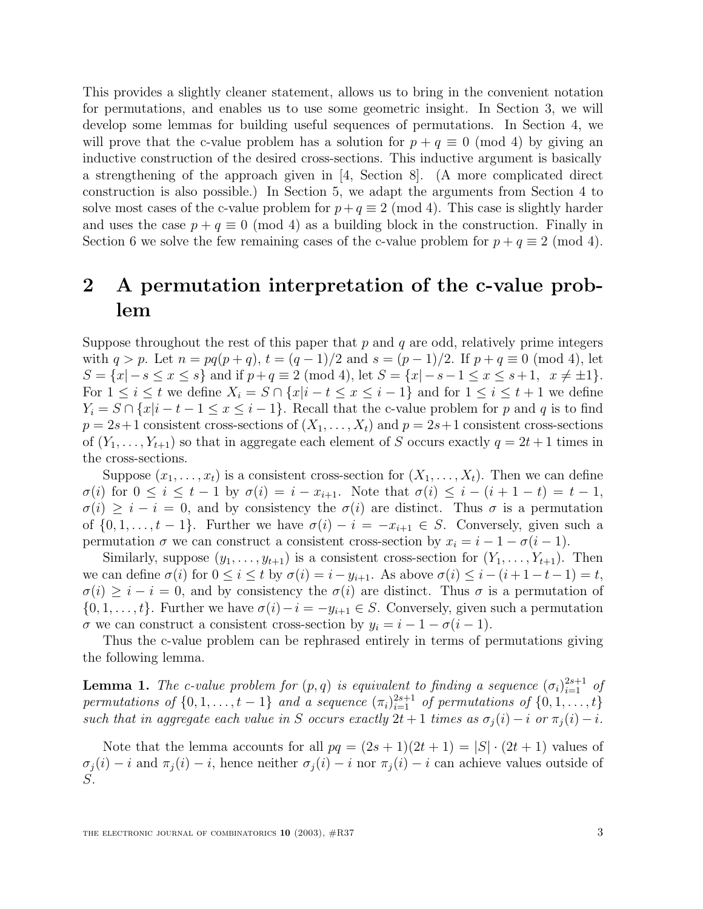This provides a slightly cleaner statement, allows us to bring in the convenient notation for permutations, and enables us to use some geometric insight. In Section 3, we will develop some lemmas for building useful sequences of permutations. In Section 4, we will prove that the c-value problem has a solution for  $p + q \equiv 0 \pmod{4}$  by giving an inductive construction of the desired cross-sections. This inductive argument is basically a strengthening of the approach given in [4, Section 8]. (A more complicated direct construction is also possible.) In Section 5, we adapt the arguments from Section 4 to solve most cases of the c-value problem for  $p+q \equiv 2 \pmod{4}$ . This case is slightly harder and uses the case  $p + q \equiv 0 \pmod{4}$  as a building block in the construction. Finally in Section 6 we solve the few remaining cases of the c-value problem for  $p + q \equiv 2 \pmod{4}$ .

# **2 A permutation interpretation of the c-value problem**

Suppose throughout the rest of this paper that  $p$  and  $q$  are odd, relatively prime integers with  $q > p$ . Let  $n = pq(p+q)$ ,  $t = (q-1)/2$  and  $s = (p-1)/2$ . If  $p+q \equiv 0 \pmod{4}$ , let  $S = \{x | -s \le x \le s\}$  and if  $p + q \equiv 2 \pmod{4}$ , let  $S = \{x | -s-1 \le x \le s+1, x \neq \pm 1\}$ . For  $1 \leq i \leq t$  we define  $X_i = S \cap \{x | i - t \leq x \leq i - 1\}$  and for  $1 \leq i \leq t + 1$  we define  $Y_i = S \cap \{x \mid i - t - 1 \leq x \leq i - 1\}.$  Recall that the c-value problem for p and q is to find  $p = 2s+1$  consistent cross-sections of  $(X_1, \ldots, X_t)$  and  $p = 2s+1$  consistent cross-sections of  $(Y_1, \ldots, Y_{t+1})$  so that in aggregate each element of S occurs exactly  $q = 2t + 1$  times in the cross-sections.

Suppose  $(x_1,\ldots,x_t)$  is a consistent cross-section for  $(X_1,\ldots,X_t)$ . Then we can define  $\sigma(i)$  for  $0 \leq i \leq t-1$  by  $\sigma(i) = i - x_{i+1}$ . Note that  $\sigma(i) \leq i - (i+1-t) = t-1$ ,  $\sigma(i) \geq i - i = 0$ , and by consistency the  $\sigma(i)$  are distinct. Thus  $\sigma$  is a permutation of  $\{0, 1, \ldots, t-1\}$ . Further we have  $\sigma(i) - i = -x_{i+1} \in S$ . Conversely, given such a permutation  $\sigma$  we can construct a consistent cross-section by  $x_i = i - 1 - \sigma(i - 1)$ .

Similarly, suppose  $(y_1, \ldots, y_{t+1})$  is a consistent cross-section for  $(Y_1, \ldots, Y_{t+1})$ . Then we can define  $\sigma(i)$  for  $0 \leq i \leq t$  by  $\sigma(i) = i - y_{i+1}$ . As above  $\sigma(i) \leq i - (i + 1 - t - 1) = t$ ,  $\sigma(i) \geq i - i = 0$ , and by consistency the  $\sigma(i)$  are distinct. Thus  $\sigma$  is a permutation of  $\{0, 1, \ldots, t\}$ . Further we have  $\sigma(i) - i = -y_{i+1} \in S$ . Conversely, given such a permutation  $\sigma$  we can construct a consistent cross-section by  $y_i = i - 1 - \sigma(i - 1)$ .

Thus the c-value problem can be rephrased entirely in terms of permutations giving the following lemma.

**Lemma 1.** The c-value problem for  $(p, q)$  is equivalent to finding a sequence  $(\sigma_i)_{i=1}^{2s+1}$  of permutations of  $\{0, 1, \ldots, t-1\}$  and a sequence  $(\pi_i)_{i=1}^{2s+1}$  of permutations of  $\{0, 1, \ldots, t\}$ such that in aggregate each value in S occurs exactly  $2t + 1$  times as  $\sigma_i(i) - i$  or  $\pi_i(i) - i$ .

Note that the lemma accounts for all  $pq = (2s + 1)(2t + 1) = |S| \cdot (2t + 1)$  values of  $\sigma_j(i) - i$  and  $\pi_j(i) - i$ , hence neither  $\sigma_j(i) - i$  nor  $\pi_j(i) - i$  can achieve values outside of S.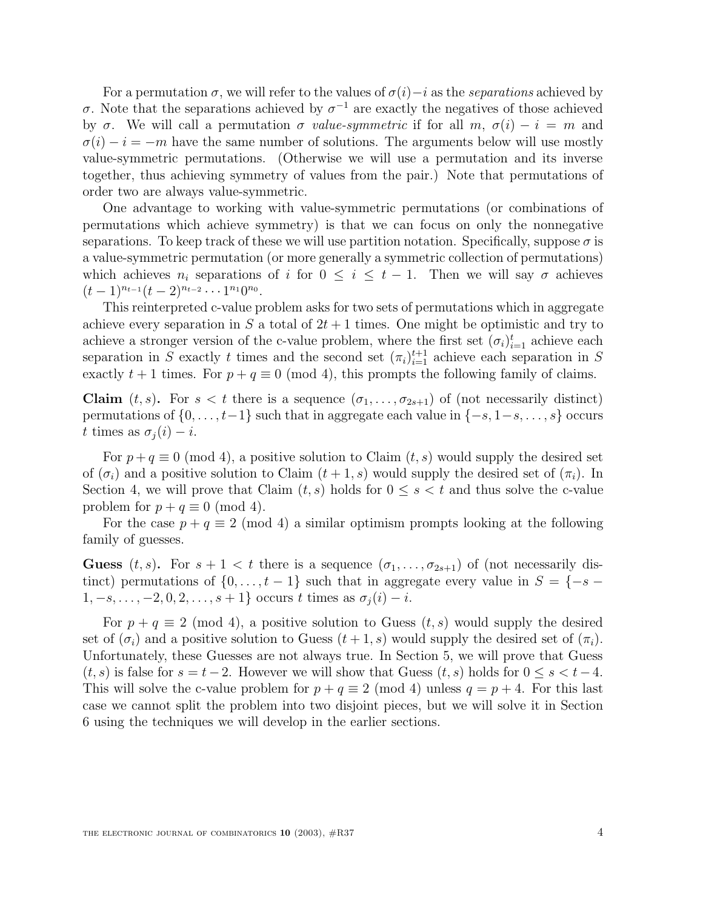For a permutation  $\sigma$ , we will refer to the values of  $\sigma(i)-i$  as the separations achieved by σ. Note that the separations achieved by σ−<sup>1</sup> are exactly the negatives of those achieved by  $\sigma$ . We will call a permutation  $\sigma$  value-symmetric if for all m,  $\sigma(i) - i = m$  and  $\sigma(i) - i = -m$  have the same number of solutions. The arguments below will use mostly value-symmetric permutations. (Otherwise we will use a permutation and its inverse together, thus achieving symmetry of values from the pair.) Note that permutations of order two are always value-symmetric.

One advantage to working with value-symmetric permutations (or combinations of permutations which achieve symmetry) is that we can focus on only the nonnegative separations. To keep track of these we will use partition notation. Specifically, suppose  $\sigma$  is a value-symmetric permutation (or more generally a symmetric collection of permutations) which achieves  $n_i$  separations of i for  $0 \leq i \leq t-1$ . Then we will say  $\sigma$  achieves  $(t-1)^{n_{t-1}}(t-2)^{n_{t-2}}\cdots 1^{n_1}0^{n_0}.$ 

This reinterpreted c-value problem asks for two sets of permutations which in aggregate achieve every separation in S a total of  $2t + 1$  times. One might be optimistic and try to achieve a stronger version of the c-value problem, where the first set  $(\sigma_i)_{i=1}^t$  achieve each separation in S exactly t times and the second set  $(\pi_i)_{i=1}^{t+1}$  achieve each separation in S exactly  $t + 1$  times. For  $p + q \equiv 0 \pmod{4}$ , this prompts the following family of claims.

**Claim**  $(t, s)$ . For  $s < t$  there is a sequence  $(\sigma_1, \ldots, \sigma_{2s+1})$  of (not necessarily distinct) permutations of  $\{0,\ldots,t-1\}$  such that in aggregate each value in  $\{-s,1-s,\ldots,s\}$  occurs t times as  $\sigma_i(i) - i$ .

For  $p + q \equiv 0 \pmod{4}$ , a positive solution to Claim  $(t, s)$  would supply the desired set of  $(\sigma_i)$  and a positive solution to Claim  $(t+1, s)$  would supply the desired set of  $(\pi_i)$ . In Section 4, we will prove that Claim  $(t, s)$  holds for  $0 \leq s < t$  and thus solve the c-value problem for  $p + q \equiv 0 \pmod{4}$ .

For the case  $p + q \equiv 2 \pmod{4}$  a similar optimism prompts looking at the following family of guesses.

**Guess**  $(t, s)$ . For  $s + 1 < t$  there is a sequence  $(\sigma_1, \ldots, \sigma_{2s+1})$  of (not necessarily distinct) permutations of  $\{0,\ldots,t-1\}$  such that in aggregate every value in  $S = \{-s-1\}$  $1, -s, \ldots, -2, 0, 2, \ldots, s+1$ } occurs t times as  $\sigma_j(i) - i$ .

For  $p + q \equiv 2 \pmod{4}$ , a positive solution to Guess  $(t, s)$  would supply the desired set of  $(\sigma_i)$  and a positive solution to Guess  $(t+1, s)$  would supply the desired set of  $(\pi_i)$ . Unfortunately, these Guesses are not always true. In Section 5, we will prove that Guess  $(t, s)$  is false for  $s = t - 2$ . However we will show that Guess  $(t, s)$  holds for  $0 \leq s < t - 4$ . This will solve the c-value problem for  $p + q \equiv 2 \pmod{4}$  unless  $q = p + 4$ . For this last case we cannot split the problem into two disjoint pieces, but we will solve it in Section 6 using the techniques we will develop in the earlier sections.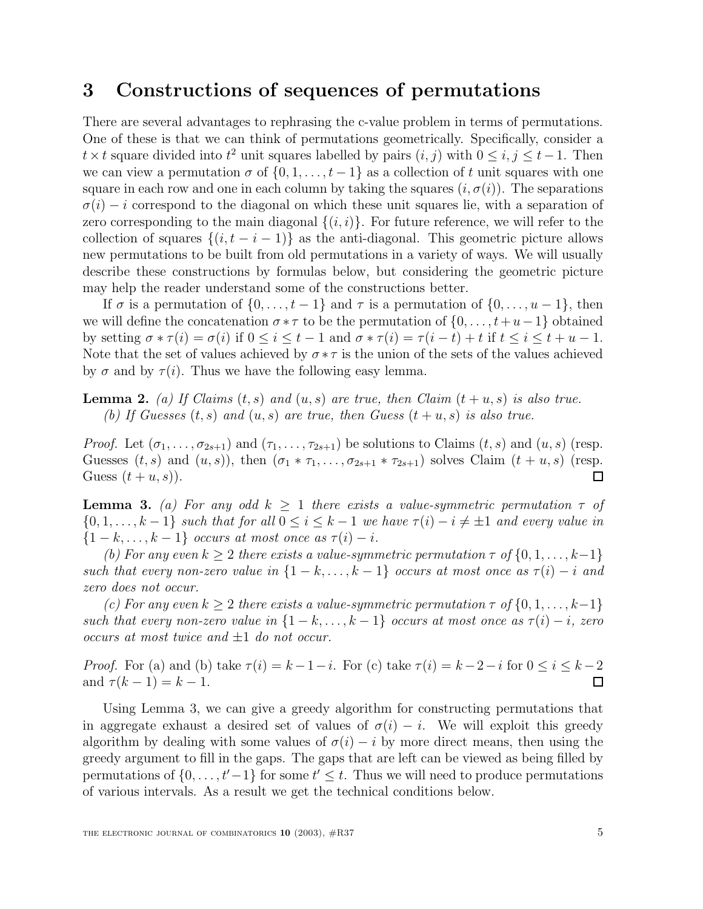#### **3 Constructions of sequences of permutations**

There are several advantages to rephrasing the c-value problem in terms of permutations. One of these is that we can think of permutations geometrically. Specifically, consider a  $t \times t$  square divided into  $t^2$  unit squares labelled by pairs  $(i, j)$  with  $0 \leq i, j \leq t-1$ . Then we can view a permutation  $\sigma$  of  $\{0, 1, \ldots, t-1\}$  as a collection of t unit squares with one square in each row and one in each column by taking the squares  $(i, \sigma(i))$ . The separations  $\sigma(i) - i$  correspond to the diagonal on which these unit squares lie, with a separation of zero corresponding to the main diagonal  $\{(i, i)\}\$ . For future reference, we will refer to the collection of squares  $\{(i, t - i - 1)\}\$ as the anti-diagonal. This geometric picture allows new permutations to be built from old permutations in a variety of ways. We will usually describe these constructions by formulas below, but considering the geometric picture may help the reader understand some of the constructions better.

If  $\sigma$  is a permutation of  $\{0,\ldots,t-1\}$  and  $\tau$  is a permutation of  $\{0,\ldots,u-1\}$ , then we will define the concatenation  $\sigma * \tau$  to be the permutation of  $\{0,\ldots,t+u-1\}$  obtained by setting  $\sigma * \tau(i) = \sigma(i)$  if  $0 \leq i \leq t - 1$  and  $\sigma * \tau(i) = \tau(i - t) + t$  if  $t \leq i \leq t + u - 1$ . Note that the set of values achieved by  $\sigma * \tau$  is the union of the sets of the values achieved by  $\sigma$  and by  $\tau(i)$ . Thus we have the following easy lemma.

**Lemma 2.** (a) If Claims  $(t, s)$  and  $(u, s)$  are true, then Claim  $(t + u, s)$  is also true. (b) If Guesses  $(t, s)$  and  $(u, s)$  are true, then Guess  $(t + u, s)$  is also true.

*Proof.* Let  $(\sigma_1,\ldots,\sigma_{2s+1})$  and  $(\tau_1,\ldots,\tau_{2s+1})$  be solutions to Claims  $(t,s)$  and  $(u,s)$  (resp. Guesses  $(t, s)$  and  $(u, s)$ , then  $(\sigma_1 * \tau_1, \ldots, \sigma_{2s+1} * \tau_{2s+1})$  solves Claim  $(t + u, s)$  (resp. Guess  $(t+u, s)$ . □

**Lemma 3.** (a) For any odd  $k \geq 1$  there exists a value-symmetric permutation  $\tau$  of  $\{0, 1, \ldots, k-1\}$  such that for all  $0 \le i \le k-1$  we have  $\tau(i) - i \neq \pm 1$  and every value in  $\{1-k,\ldots,k-1\}$  occurs at most once as  $\tau(i)-i$ .

(b) For any even  $k \geq 2$  there exists a value-symmetric permutation  $\tau$  of  $\{0, 1, \ldots, k-1\}$ such that every non-zero value in  $\{1 - k, \ldots, k - 1\}$  occurs at most once as  $\tau(i) - i$  and zero does not occur.

(c) For any even  $k \geq 2$  there exists a value-symmetric permutation  $\tau$  of  $\{0, 1, \ldots, k-1\}$ such that every non-zero value in  $\{1-k,\ldots,k-1\}$  occurs at most once as  $\tau(i) - i$ , zero occurs at most twice and  $\pm 1$  do not occur.

*Proof.* For (a) and (b) take  $\tau(i) = k - 1 - i$ . For (c) take  $\tau(i) = k - 2 - i$  for  $0 \le i \le k - 2$ and  $\tau (k - 1) = k - 1$ .  $\Box$ 

Using Lemma 3, we can give a greedy algorithm for constructing permutations that in aggregate exhaust a desired set of values of  $\sigma(i) - i$ . We will exploit this greedy algorithm by dealing with some values of  $\sigma(i) - i$  by more direct means, then using the greedy argument to fill in the gaps. The gaps that are left can be viewed as being filled by permutations of  $\{0, \ldots, t'-1\}$  for some  $t' \leq t$ . Thus we will need to produce permutations of various intervals. As a result we get the technical conditions below.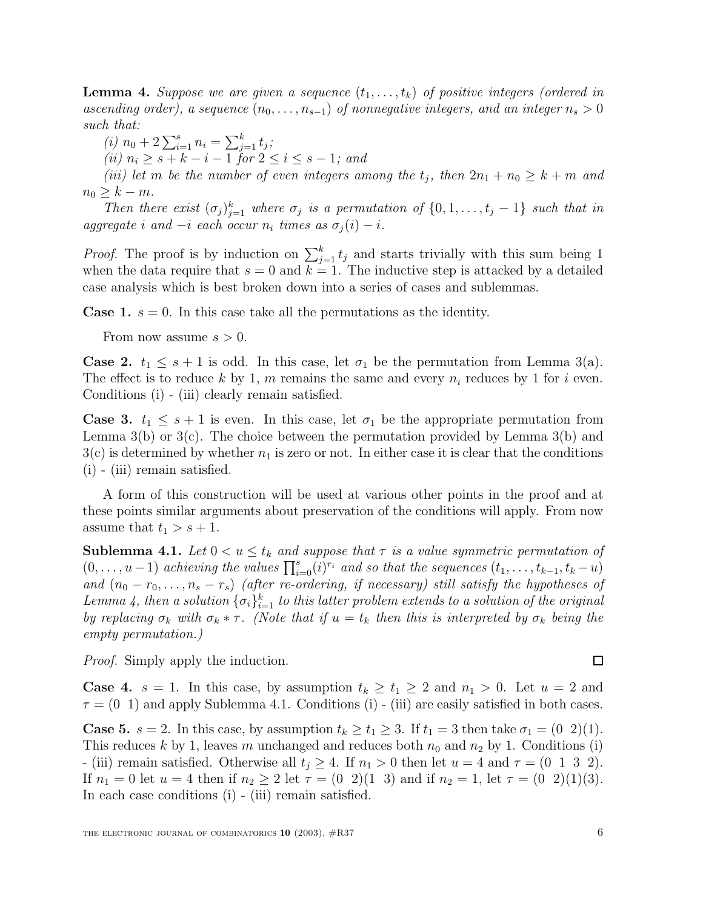**Lemma 4.** Suppose we are given a sequence  $(t_1, \ldots, t_k)$  of positive integers (ordered in ascending order), a sequence  $(n_0,\ldots,n_{s-1})$  of nonnegative integers, and an integer  $n_s > 0$ such that:

(*i*)  $n_0 + 2\sum_{i=1}^s n_i = \sum_{j=1}^k t_j;$ 

(ii)  $n_i \geq s + k - i - 1$  for  $2 \leq i \leq s - 1$ ; and

(iii) let m be the number of even integers among the  $t_i$ , then  $2n_1 + n_0 \geq k + m$  and  $n_0 \geq k - m$ .

Then there exist  $(\sigma_j)_{j=1}^k$  where  $\sigma_j$  is a permutation of  $\{0, 1, \ldots, t_j - 1\}$  such that in aggregate i and  $-i$  each occur  $n_i$  times as  $\sigma_i(i) - i$ .

*Proof.* The proof is by induction on  $\sum_{j=1}^{k} t_j$  and starts trivially with this sum being 1 when the data require that  $s = 0$  and  $k = 1$ . The inductive step is attacked by a detailed case analysis which is best broken down into a series of cases and sublemmas.

**Case 1.**  $s = 0$ . In this case take all the permutations as the identity.

From now assume  $s > 0$ .

**Case 2.**  $t_1 \leq s+1$  is odd. In this case, let  $\sigma_1$  be the permutation from Lemma 3(a). The effect is to reduce k by 1, m remains the same and every  $n_i$  reduces by 1 for i even. Conditions (i) - (iii) clearly remain satisfied.

**Case 3.**  $t_1 \leq s + 1$  is even. In this case, let  $\sigma_1$  be the appropriate permutation from Lemma  $3(b)$  or  $3(c)$ . The choice between the permutation provided by Lemma  $3(b)$  and  $3(c)$  is determined by whether  $n_1$  is zero or not. In either case it is clear that the conditions (i) - (iii) remain satisfied.

A form of this construction will be used at various other points in the proof and at these points similar arguments about preservation of the conditions will apply. From now assume that  $t_1 > s + 1$ .

**Sublemma 4.1.** Let  $0 < u \leq t_k$  and suppose that  $\tau$  is a value symmetric permutation of  $(0,\ldots,u-1)$  achieving the values  $\prod_{i=0}^{s}(i)^{r_i}$  and so that the sequences  $(t_1,\ldots,t_{k-1},t_k-u)$ and  $(n_0 - r_0, \ldots, n_s - r_s)$  (after re-ordering, if necessary) still satisfy the hypotheses of Lemma 4, then a solution  $\{\sigma_i\}_{i=1}^k$  to this latter problem extends to a solution of the original by replacing  $\sigma_k$  with  $\sigma_k * \tau$ . (Note that if  $u = t_k$  then this is interpreted by  $\sigma_k$  being the empty permutation.)

Proof. Simply apply the induction.

**Case 4.**  $s = 1$ . In this case, by assumption  $t_k \geq t_1 \geq 2$  and  $n_1 > 0$ . Let  $u = 2$  and  $\tau = (0, 1)$  and apply Sublemma 4.1. Conditions (i) - (iii) are easily satisfied in both cases.

**Case 5.**  $s = 2$ . In this case, by assumption  $t_k \ge t_1 \ge 3$ . If  $t_1 = 3$  then take  $\sigma_1 = (0 \ 2)(1)$ . This reduces k by 1, leaves m unchanged and reduces both  $n_0$  and  $n_2$  by 1. Conditions (i) - (iii) remain satisfied. Otherwise all  $t_i \geq 4$ . If  $n_1 > 0$  then let  $u = 4$  and  $\tau = (0 \ 1 \ 3 \ 2)$ . If  $n_1 = 0$  let  $u = 4$  then if  $n_2 \ge 2$  let  $\tau = (0 \ 2)(1 \ 3)$  and if  $n_2 = 1$ , let  $\tau = (0 \ 2)(1)(3)$ . In each case conditions (i) - (iii) remain satisfied.

 $\Box$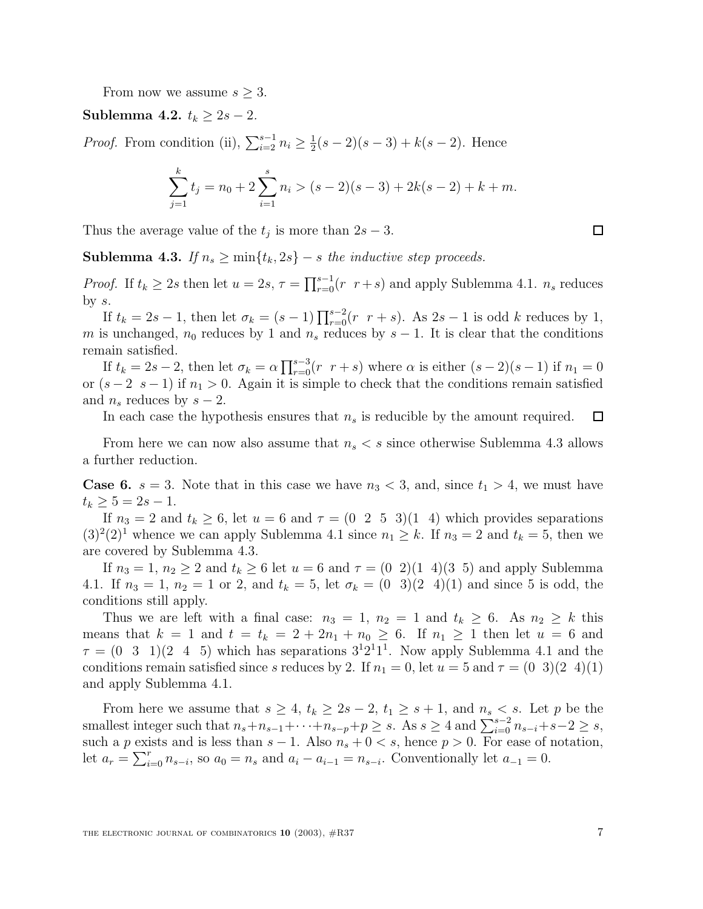From now we assume  $s \geq 3$ .

**Sublemma 4.2.**  $t_k \geq 2s - 2$ .

*Proof.* From condition (ii),  $\sum_{i=2}^{s-1} n_i \ge \frac{1}{2}(s-2)(s-3) + k(s-2)$ . Hence

$$
\sum_{j=1}^{k} t_j = n_0 + 2 \sum_{i=1}^{s} n_i > (s-2)(s-3) + 2k(s-2) + k + m.
$$

Thus the average value of the  $t_j$  is more than  $2s - 3$ .

**Sublemma 4.3.** If  $n_s \geq \min\{t_k, 2s\} - s$  the inductive step proceeds.

*Proof.* If  $t_k \geq 2s$  then let  $u = 2s$ ,  $\tau = \prod_{r=0}^{s-1}(r - r + s)$  and apply Sublemma 4.1.  $n_s$  reduces by  $s$ .

If  $t_k = 2s - 1$ , then let  $\sigma_k = (s - 1) \prod_{r=0}^{s-2} (r \ r + s)$ . As  $2s - 1$  is odd k reduces by 1, m is unchanged,  $n_0$  reduces by 1 and  $n_s$  reduces by  $s - 1$ . It is clear that the conditions remain satisfied.

If  $t_k = 2s - 2$ , then let  $\sigma_k = \alpha \prod_{r=0}^{s-3} (r \ r + s)$  where  $\alpha$  is either  $(s-2)(s-1)$  if  $n_1 = 0$ or  $(s-2, s-1)$  if  $n_1 > 0$ . Again it is simple to check that the conditions remain satisfied and  $n_s$  reduces by  $s-2$ .

In each case the hypothesis ensures that  $n<sub>s</sub>$  is reducible by the amount required.  $\Box$ 

From here we can now also assume that  $n_s < s$  since otherwise Sublemma 4.3 allows a further reduction.

**Case 6.**  $s = 3$ . Note that in this case we have  $n_3 < 3$ , and, since  $t_1 > 4$ , we must have  $t_k \geq 5 = 2s - 1.$ 

If  $n_3 = 2$  and  $t_k \ge 6$ , let  $u = 6$  and  $\tau = (0 \ 2 \ 5 \ 3)(1 \ 4)$  which provides separations  $(3)^{2}(2)^{1}$  whence we can apply Sublemma 4.1 since  $n_1 \geq k$ . If  $n_3 = 2$  and  $t_k = 5$ , then we are covered by Sublemma 4.3.

If  $n_3 = 1$ ,  $n_2 \geq 2$  and  $t_k \geq 6$  let  $u = 6$  and  $\tau = (0 \ 2)(1 \ 4)(3 \ 5)$  and apply Sublemma 4.1. If  $n_3 = 1$ ,  $n_2 = 1$  or 2, and  $t_k = 5$ , let  $\sigma_k = (0 \ 3)(2 \ 4)(1)$  and since 5 is odd, the conditions still apply.

Thus we are left with a final case:  $n_3 = 1$ ,  $n_2 = 1$  and  $t_k \geq 6$ . As  $n_2 \geq k$  this means that  $k = 1$  and  $t = t_k = 2 + 2n_1 + n_0 \geq 6$ . If  $n_1 \geq 1$  then let  $u = 6$  and  $\tau = (0 \ 3 \ 1)(2 \ 4 \ 5)$  which has separations  $3^{1}2^{1}1^{1}$ . Now apply Sublemma 4.1 and the conditions remain satisfied since s reduces by 2. If  $n_1 = 0$ , let  $u = 5$  and  $\tau = (0 \ 3)(2 \ 4)(1)$ and apply Sublemma 4.1.

From here we assume that  $s \geq 4$ ,  $t_k \geq 2s - 2$ ,  $t_1 \geq s + 1$ , and  $n_s < s$ . Let p be the smallest integer such that  $n_s + n_{s-1} + \cdots + n_{s-p} + p \geq s$ . As  $s \geq 4$  and  $\sum_{i=0}^{s-2} n_{s-i} + s-2 \geq s$ , such a p exists and is less than  $s - 1$ . Also  $n_s + 0 < s$ , hence  $p > 0$ . For ease of notation, let  $a_r = \sum_{i=0}^r n_{s-i}$ , so  $a_0 = n_s$  and  $a_i - a_{i-1} = n_{s-i}$ . Conventionally let  $a_{-1} = 0$ .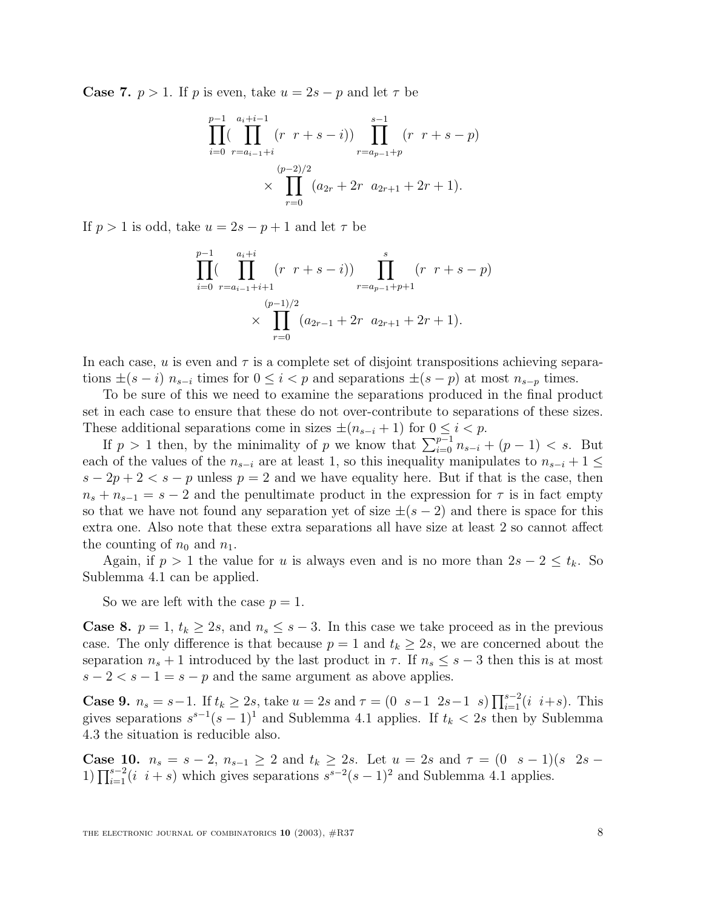**Case 7.**  $p > 1$ . If p is even, take  $u = 2s - p$  and let  $\tau$  be

$$
\prod_{i=0}^{p-1} \left( \prod_{r=a_{i-1}+i}^{a_i+i-1} (r \ r+s-i) \right) \prod_{r=a_{p-1}+p}^{s-1} (r \ r+s-p)
$$
  
 
$$
\times \prod_{r=0}^{(p-2)/2} (a_{2r}+2r \ a_{2r+1}+2r+1).
$$

If  $p > 1$  is odd, take  $u = 2s - p + 1$  and let  $\tau$  be

$$
\prod_{i=0}^{p-1} \left( \prod_{r=a_{i-1}+i+1}^{a_i+i} (r \ r+s-i) \right) \prod_{r=a_{p-1}+p+1}^{s} (r \ r+s-p)
$$
  
 
$$
\times \prod_{r=0}^{(p-1)/2} (a_{2r-1}+2r \ a_{2r+1}+2r+1).
$$

In each case, u is even and  $\tau$  is a complete set of disjoint transpositions achieving separations  $\pm(s-i)$   $n_{s-i}$  times for  $0 \leq i < p$  and separations  $\pm(s-p)$  at most  $n_{s-p}$  times.

To be sure of this we need to examine the separations produced in the final product set in each case to ensure that these do not over-contribute to separations of these sizes. These additional separations come in sizes  $\pm(n_{s-i}+1)$  for  $0 \leq i < p$ .

If  $p > 1$  then, by the minimality of p we know that  $\sum_{i=0}^{p-1} n_{s-i} + (p-1) < s$ . But each of the values of the  $n_{s-i}$  are at least 1, so this inequality manipulates to  $n_{s-i} + 1 \leq$  $s - 2p + 2 < s - p$  unless  $p = 2$  and we have equality here. But if that is the case, then  $n_s + n_{s-1} = s - 2$  and the penultimate product in the expression for  $\tau$  is in fact empty so that we have not found any separation yet of size  $\pm(s-2)$  and there is space for this extra one. Also note that these extra separations all have size at least 2 so cannot affect the counting of  $n_0$  and  $n_1$ .

Again, if  $p > 1$  the value for u is always even and is no more than  $2s - 2 \le t_k$ . So Sublemma 4.1 can be applied.

So we are left with the case  $p = 1$ .

**Case 8.**  $p = 1$ ,  $t_k \ge 2s$ , and  $n_s \le s - 3$ . In this case we take proceed as in the previous case. The only difference is that because  $p = 1$  and  $t_k \geq 2s$ , we are concerned about the separation  $n_s + 1$  introduced by the last product in  $\tau$ . If  $n_s \leq s - 3$  then this is at most  $s-2 < s-1 = s-p$  and the same argument as above applies.

**Case 9.**  $n_s = s-1$ . If  $t_k \geq 2s$ , take  $u = 2s$  and  $\tau = \begin{pmatrix} 0 & s-1 & 2s-1 & s \end{pmatrix} \prod_{i=1}^{s-2} (i-i+s)$ . This gives separations  $s^{s-1}(s-1)^1$  and Sublemma 4.1 applies. If  $t_k < 2s$  then by Sublemma 4.3 the situation is reducible also.

**Case 10.**  $n_s = s - 2$ ,  $n_{s-1} \geq 2$  and  $t_k \geq 2s$ . Let  $u = 2s$  and  $\tau = (0 \ s - 1)(s \ 2s -$ 1)  $\prod_{i=1}^{s-2}$  (*i i* + *s*) which gives separations  $s^{s-2}(s-1)^2$  and Sublemma 4.1 applies.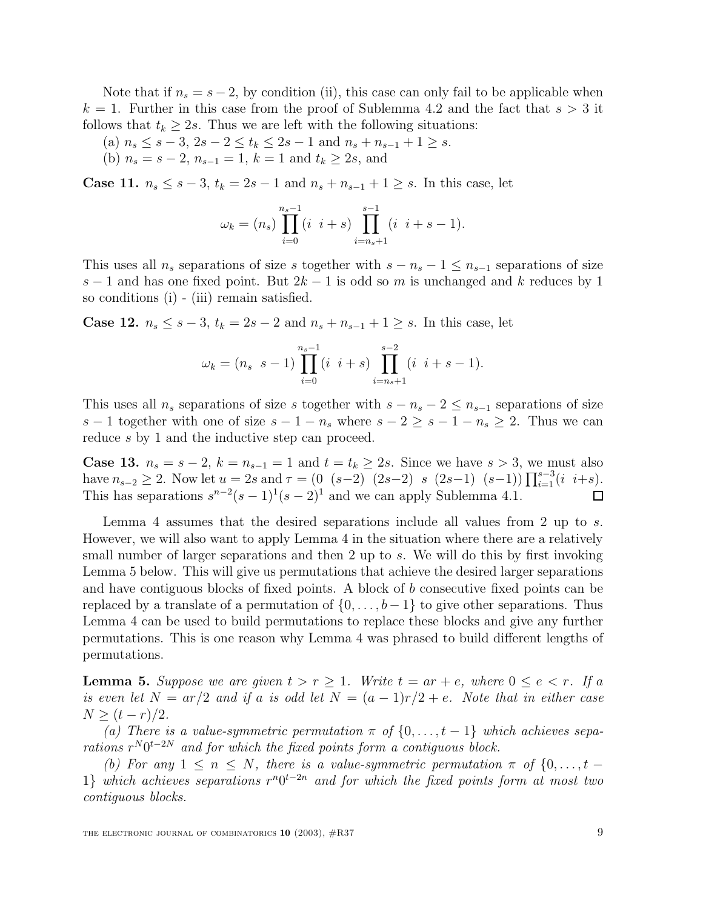Note that if  $n_s = s - 2$ , by condition (ii), this case can only fail to be applicable when  $k = 1$ . Further in this case from the proof of Sublemma 4.2 and the fact that  $s > 3$  it follows that  $t_k \geq 2s$ . Thus we are left with the following situations:

- (a)  $n_s \leq s 3$ ,  $2s 2 \leq t_k \leq 2s 1$  and  $n_s + n_{s-1} + 1 \geq s$ .
- (b)  $n_s = s 2$ ,  $n_{s-1} = 1$ ,  $k = 1$  and  $t_k \ge 2s$ , and

**Case 11.**  $n_s \leq s - 3$ ,  $t_k = 2s - 1$  and  $n_s + n_{s-1} + 1 ≥ s$ . In this case, let

$$
\omega_k = (n_s) \prod_{i=0}^{n_s-1} (i \ i+s) \prod_{i=n_s+1}^{s-1} (i \ i+s-1).
$$

This uses all  $n_s$  separations of size s together with  $s - n_s - 1 \leq n_{s-1}$  separations of size s − 1 and has one fixed point. But  $2k - 1$  is odd so m is unchanged and k reduces by 1 so conditions (i) - (iii) remain satisfied.

**Case 12.**  $n_s \leq s - 3$ ,  $t_k = 2s - 2$  and  $n_s + n_{s-1} + 1 ≥ s$ . In this case, let

$$
\omega_k = (n_s \ s - 1) \prod_{i=0}^{n_s-1} (i \ i + s) \prod_{i=n_s+1}^{s-2} (i \ i + s - 1).
$$

This uses all  $n_s$  separations of size s together with  $s - n_s - 2 \leq n_{s-1}$  separations of size s − 1 together with one of size  $s - 1 - n_s$  where  $s - 2 \geq s - 1 - n_s \geq 2$ . Thus we can reduce s by 1 and the inductive step can proceed.

**Case 13.**  $n_s = s - 2$ ,  $k = n_{s-1} = 1$  and  $t = t_k \ge 2s$ . Since we have  $s > 3$ , we must also have  $n_{s-2} \geq 2$ . Now let  $u = 2s$  and  $\tau = (0 \ (s-2) \ (2s-2) \ s \ (2s-1) \ (s-1)) \prod_{i=1}^{s-3} (i \ i+s)$ . This has separations  $s^{n-2}(s-1)^1(s-2)^1$  and we can apply Sublemma 4.1. П

Lemma 4 assumes that the desired separations include all values from 2 up to s. However, we will also want to apply Lemma 4 in the situation where there are a relatively small number of larger separations and then 2 up to s. We will do this by first invoking Lemma 5 below. This will give us permutations that achieve the desired larger separations and have contiguous blocks of fixed points. A block of b consecutive fixed points can be replaced by a translate of a permutation of  $\{0,\ldots,b-1\}$  to give other separations. Thus Lemma 4 can be used to build permutations to replace these blocks and give any further permutations. This is one reason why Lemma 4 was phrased to build different lengths of permutations.

**Lemma 5.** Suppose we are given  $t > r \ge 1$ . Write  $t = ar + e$ , where  $0 \le e < r$ . If a is even let  $N = ar/2$  and if a is odd let  $N = (a-1)r/2 + e$ . Note that in either case  $N > (t - r)/2$ .

(a) There is a value-symmetric permutation  $\pi$  of  $\{0,\ldots,t-1\}$  which achieves separations  $r^N 0^{t-2N}$  and for which the fixed points form a contiguous block.

(b) For any  $1 \leq n \leq N$ , there is a value-symmetric permutation  $\pi$  of  $\{0, \ldots, t -$ 1} which achieves separations  $r^n0^{t-2n}$  and for which the fixed points form at most two contiguous blocks.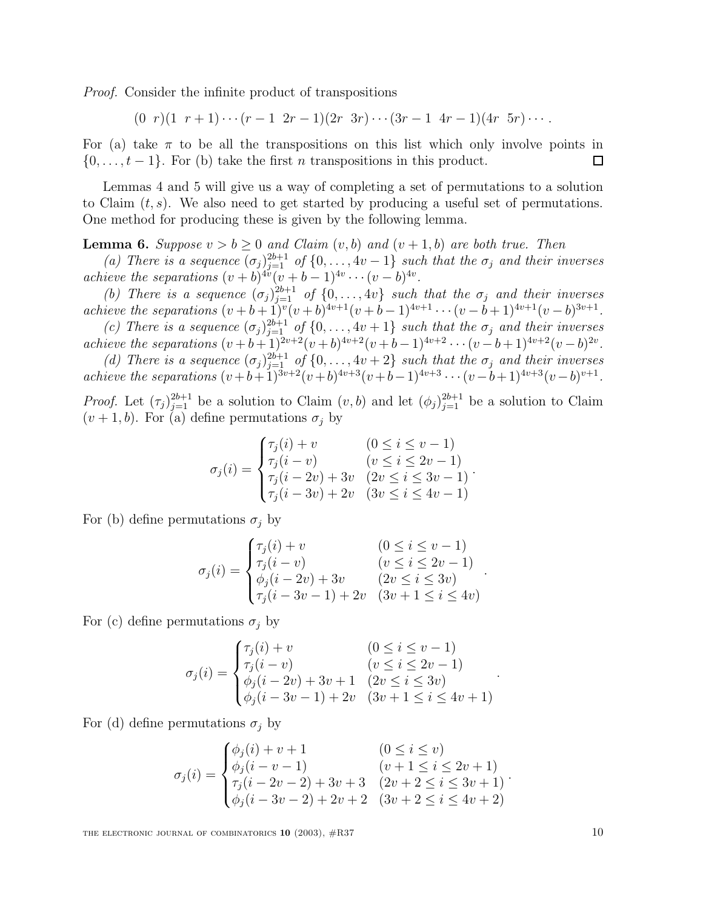Proof. Consider the infinite product of transpositions

 $(0 r)(1 r+1)\cdots(r-1 2r-1)(2r 3r)\cdots(3r-1 4r-1)(4r 5r)\cdots$ 

For (a) take  $\pi$  to be all the transpositions on this list which only involve points in  $\{0,\ldots,t-1\}$ . For (b) take the first *n* transpositions in this product. П

Lemmas 4 and 5 will give us a way of completing a set of permutations to a solution to Claim  $(t, s)$ . We also need to get started by producing a useful set of permutations. One method for producing these is given by the following lemma.

**Lemma 6.** Suppose  $v > b \geq 0$  and Claim  $(v, b)$  and  $(v + 1, b)$  are both true. Then

(a) There is a sequence  $(\sigma_j)_{j=1}^{2b+1}$  of  $\{0,\ldots, 4v-1\}$  such that the  $\sigma_j$  and their inverses achieve the separations  $(v + b)^{4v}(v + b - 1)^{4v} \cdots (v - b)^{4v}$ .

(b) There is a sequence  $(\sigma_j)_{j=1}^{2b+1}$  of  $\{0,\ldots, 4v\}$  such that the  $\sigma_j$  and their inverses achieve the separations  $(v + b + 1)^{v}(v + b)^{4v+1}(v + b - 1)^{4v+1} \cdots (v - b + 1)^{4v+1}(v - b)^{3v+1}$ .

(c) There is a sequence  $(\sigma_j)_{j=1}^{2b+1}$  of  $\{0,\ldots, 4v+1\}$  such that the  $\sigma_j$  and their inverses achieve the separations  $(v + b + 1)^{2v+2}(v + b)^{4v+2}(v + b - 1)^{4v+2} \cdots (v - b + 1)^{4v+2}(v - b)^{2v}$ .

(d) There is a sequence  $(\sigma_j)_{j=1}^{2b+1}$  of  $\{0,\ldots, 4v+2\}$  such that the  $\sigma_j$  and their inverses achieve the separations  $(v+b+1)^{3v+2}(v+b)^{4v+3}(v+b-1)^{4v+3}\cdots(v-b+1)^{4v+3}(v-b)^{v+1}.$ 

*Proof.* Let  $(\tau_j)_{j=1}^{2b+1}$  be a solution to Claim  $(v, b)$  and let  $(\phi_j)_{j=1}^{2b+1}$  be a solution to Claim  $(v+1,b)$ . For (a) define permutations  $\sigma_j$  by

$$
\sigma_j(i) = \begin{cases}\n\tau_j(i) + v & (0 \le i \le v - 1) \\
\tau_j(i - v) & (v \le i \le 2v - 1) \\
\tau_j(i - 2v) + 3v & (2v \le i \le 3v - 1) \\
\tau_j(i - 3v) + 2v & (3v \le i \le 4v - 1)\n\end{cases}
$$

.

.

.

For (b) define permutations  $\sigma_i$  by

$$
\sigma_j(i) = \begin{cases} \tau_j(i) + v & (0 \leq i \leq v - 1) \\ \tau_j(i - v) & (v \leq i \leq 2v - 1) \\ \phi_j(i - 2v) + 3v & (2v \leq i \leq 3v) \\ \tau_j(i - 3v - 1) + 2v & (3v + 1 \leq i \leq 4v) \end{cases}
$$

For (c) define permutations  $\sigma_i$  by

$$
\sigma_j(i) = \begin{cases} \tau_j(i) + v & (0 \leq i \leq v - 1) \\ \tau_j(i - v) & (v \leq i \leq 2v - 1) \\ \phi_j(i - 2v) + 3v + 1 & (2v \leq i \leq 3v) \\ \phi_j(i - 3v - 1) + 2v & (3v + 1 \leq i \leq 4v + 1) \end{cases}
$$

For (d) define permutations  $\sigma_j$  by

$$
\sigma_j(i) = \begin{cases} \phi_j(i) + v + 1 & (0 \leq i \leq v) \\ \phi_j(i - v - 1) & (v + 1 \leq i \leq 2v + 1) \\ \tau_j(i - 2v - 2) + 3v + 3 & (2v + 2 \leq i \leq 3v + 1) \\ \phi_j(i - 3v - 2) + 2v + 2 & (3v + 2 \leq i \leq 4v + 2) \end{cases}.
$$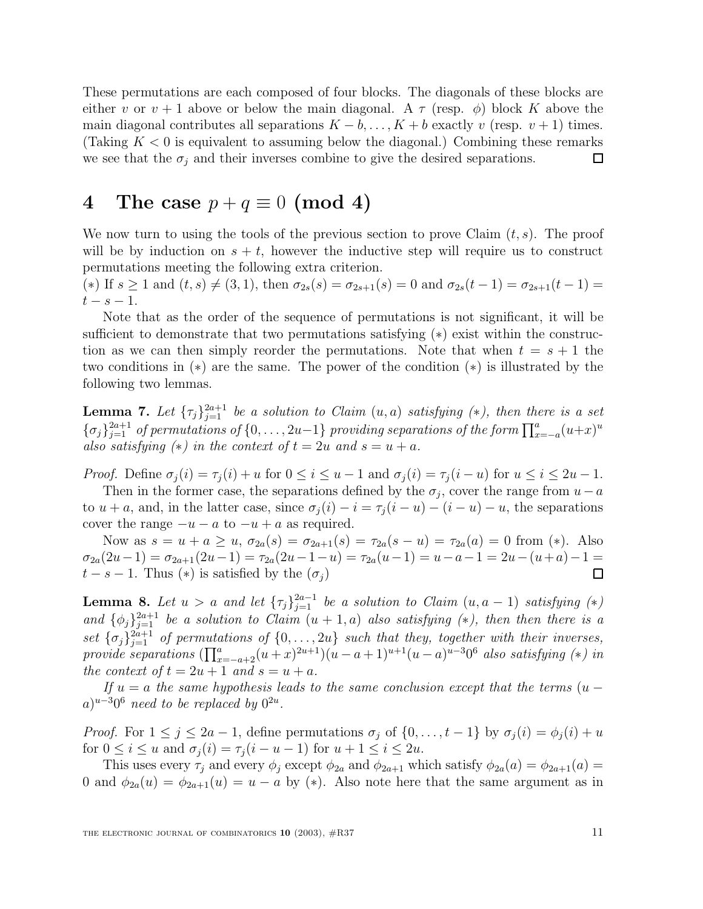These permutations are each composed of four blocks. The diagonals of these blocks are either v or  $v + 1$  above or below the main diagonal. A  $\tau$  (resp.  $\phi$ ) block K above the main diagonal contributes all separations  $K - b, \ldots, K + b$  exactly v (resp. v + 1) times. (Taking  $K < 0$  is equivalent to assuming below the diagonal.) Combining these remarks we see that the  $\sigma_i$  and their inverses combine to give the desired separations. □

### **4** The case  $p + q \equiv 0 \pmod{4}$

We now turn to using the tools of the previous section to prove Claim  $(t, s)$ . The proof will be by induction on  $s + t$ , however the inductive step will require us to construct permutations meeting the following extra criterion.

(\*) If  $s \ge 1$  and  $(t, s) \ne (3, 1)$ , then  $\sigma_{2s}(s) = \sigma_{2s+1}(s) = 0$  and  $\sigma_{2s}(t-1) = \sigma_{2s+1}(t-1) =$  $t-s-1$ .

Note that as the order of the sequence of permutations is not significant, it will be sufficient to demonstrate that two permutations satisfying (\*) exist within the construction as we can then simply reorder the permutations. Note that when  $t = s + 1$  the two conditions in (∗) are the same. The power of the condition (∗) is illustrated by the following two lemmas.

**Lemma 7.** Let  ${\lbrace \tau_j \rbrace}_{j=1}^{2a+1}$  be a solution to Claim  $(u, a)$  satisfying  $(*)$ , then there is a set  $\{\sigma_j\}_{j=1}^{2a+1}$  of permutations of  $\{0,\ldots,2u-1\}$  providing separations of the form  $\prod_{x=-a}^{a} (u+x)^u$ also satisfying  $(*)$  in the context of  $t = 2u$  and  $s = u + a$ .

*Proof.* Define  $\sigma_i(i) = \tau_i(i) + u$  for  $0 \leq i \leq u-1$  and  $\sigma_i(i) = \tau_i(i-u)$  for  $u \leq i \leq 2u-1$ .

Then in the former case, the separations defined by the  $\sigma_j$ , cover the range from  $u - a$ to  $u + a$ , and, in the latter case, since  $\sigma_i(i) - i = \tau_i(i - u) - (i - u) - u$ , the separations cover the range  $-u - a$  to  $-u + a$  as required.

Now as  $s = u + a \ge u$ ,  $\sigma_{2a}(s) = \sigma_{2a+1}(s) = \tau_{2a}(s - u) = \tau_{2a}(a) = 0$  from (\*). Also  $\sigma_{2a}(2u-1) = \sigma_{2a+1}(2u-1) = \tau_{2a}(2u-1-u) = \tau_{2a}(u-1) = u-a-1 = 2u-(u+a)-1 =$  $t - s - 1$ . Thus (\*) is satisfied by the  $(\sigma_i)$ Π

**Lemma 8.** Let  $u > a$  and let  $\{\tau_j\}_{j=1}^{2a-1}$  be a solution to Claim  $(u, a - 1)$  satisfying  $(*)$ and  $\{\phi_j\}_{j=1}^{2a+1}$  be a solution to Claim  $(u+1,a)$  also satisfying  $(*)$ , then then there is a set  $\{\sigma_j\}_{j=1}^{2a+1}$  of permutations of  $\{0,\ldots,2u\}$  such that they, together with their inverses, provide separations  $(\prod_{x=-a+2}^{a}(u+x)^{2u+1})(u-a+1)^{u+1}(u-a)^{u-3}0^6$  also satisfying (\*) in the context of  $t = 2u + 1$  and  $s = u + a$ .

If  $u = a$  the same hypothesis leads to the same conclusion except that the terms  $(u (a)^{u-3}0^6$  need to be replaced by  $0^{2u}$ .

Proof. For  $1 \leq j \leq 2a-1$ , define permutations  $\sigma_j$  of  $\{0, \ldots, t-1\}$  by  $\sigma_j(i) = \phi_j(i) + u$ for  $0 \leq i \leq u$  and  $\sigma_i(i) = \tau_i(i - u - 1)$  for  $u + 1 \leq i \leq 2u$ .

This uses every  $\tau_j$  and every  $\phi_j$  except  $\phi_{2a}$  and  $\phi_{2a+1}$  which satisfy  $\phi_{2a}(a) = \phi_{2a+1}(a)$ 0 and  $\phi_{2a}(u) = \phi_{2a+1}(u) = u - a$  by (\*). Also note here that the same argument as in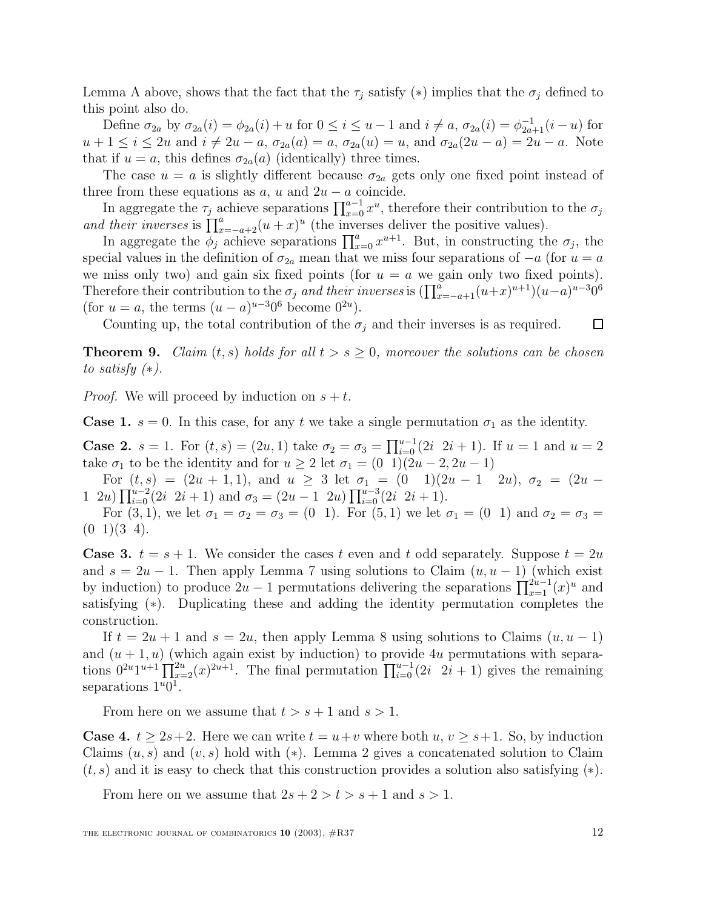Lemma A above, shows that the fact that the  $\tau_j$  satisfy (\*) implies that the  $\sigma_j$  defined to this point also do.

Define  $\sigma_{2a}$  by  $\sigma_{2a}(i) = \phi_{2a}(i) + u$  for  $0 \le i \le u - 1$  and  $i \ne a$ ,  $\sigma_{2a}(i) = \phi_{2a+1}^{-1}(i - u)$  for  $u+1 \leq i \leq 2u$  and  $i \neq 2u-a$ ,  $\sigma_{2a}(a) = a$ ,  $\sigma_{2a}(u) = u$ , and  $\sigma_{2a}(2u-a) = 2u-a$ . Note that if  $u = a$ , this defines  $\sigma_{2a}(a)$  (identically) three times.

The case  $u = a$  is slightly different because  $\sigma_{2a}$  gets only one fixed point instead of three from these equations as  $a, u$  and  $2u - a$  coincide.

In aggregate the  $\tau_j$  achieve separations  $\prod_{x=0}^{a-1} x^u$ , therefore their contribution to the  $\sigma_j$ and their inverses is  $\prod_{x=-a+2}^{a} (u+x)^u$  (the inverses deliver the positive values).

In aggregate the  $\phi_j$  achieve separations  $\prod_{x=0}^a x^{u+1}$ . But, in constructing the  $\sigma_j$ , the special values in the definition of  $\sigma_{2a}$  mean that we miss four separations of  $-a$  (for  $u = a$ ) we miss only two) and gain six fixed points (for  $u = a$  we gain only two fixed points). Therefore their contribution to the  $\sigma_j$  and their inverses is  $(\prod_{x=-a+1}^{a} (u+x)^{u+1})(u-a)^{u-3}0^6$ (for  $u = a$ , the terms  $(u - a)^{u-3}0^6$  become  $0^{2u}$ ).

Counting up, the total contribution of the  $\sigma_i$  and their inverses is as required.  $\Box$ 

**Theorem 9.** Claim  $(t, s)$  holds for all  $t > s \geq 0$ , moreover the solutions can be chosen to satisfy  $(*).$ 

*Proof.* We will proceed by induction on  $s + t$ .

**Case 1.**  $s = 0$ . In this case, for any t we take a single permutation  $\sigma_1$  as the identity.

**Case 2.**  $s = 1$ . For  $(t, s) = (2u, 1)$  take  $\sigma_2 = \sigma_3 = \prod_{i=0}^{u-1} (2i \ 2i + 1)$ . If  $u = 1$  and  $u = 2$ take  $\sigma_1$  to be the identity and for  $u \geq 2$  let  $\sigma_1 = (0 \ 1)(2u - 2, 2u - 1)$ 

For  $(t, s) = (2u + 1, 1)$ , and  $u \ge 3$  let  $\sigma_1 = (0 \quad 1)(2u - 1 \quad 2u)$ ,  $\sigma_2 = (2u -$ 1 2u)  $\prod_{i=0}^{u-2} (2i \ 2i+1)$  and  $\sigma_3 = (2u-1 \ 2u) \prod_{i=0}^{u-3} (2i \ 2i+1)$ .

For  $(3, 1)$ , we let  $\sigma_1 = \sigma_2 = \sigma_3 = (0 \; 1)$ . For  $(5, 1)$  we let  $\sigma_1 = (0 \; 1)$  and  $\sigma_2 = \sigma_3 =$  $(0 \t1)(3 \t4).$ 

**Case 3.**  $t = s + 1$ . We consider the cases t even and t odd separately. Suppose  $t = 2u$ and  $s = 2u - 1$ . Then apply Lemma 7 using solutions to Claim  $(u, u - 1)$  (which exist by induction) to produce  $2u - 1$  permutations delivering the separations  $\prod_{x=1}^{2u-1}(x)^u$  and satisfying (∗). Duplicating these and adding the identity permutation completes the construction.

If  $t = 2u + 1$  and  $s = 2u$ , then apply Lemma 8 using solutions to Claims  $(u, u - 1)$ and  $(u + 1, u)$  (which again exist by induction) to provide 4u permutations with separations  $0^{2u}1^{u+1}\prod_{x=2}^{2u}(x)^{2u+1}$ . The final permutation  $\prod_{i=0}^{u-1}(2i \ 2i+1)$  gives the remaining separations  $1^u0^1$ .

From here on we assume that  $t>s+1$  and  $s>1$ .

**Case 4.**  $t \geq 2s+2$ . Here we can write  $t = u+v$  where both  $u, v \geq s+1$ . So, by induction Claims  $(u, s)$  and  $(v, s)$  hold with  $(*)$ . Lemma 2 gives a concatenated solution to Claim  $(t, s)$  and it is easy to check that this construction provides a solution also satisfying  $(*)$ .

From here on we assume that  $2s + 2 > t > s + 1$  and  $s > 1$ .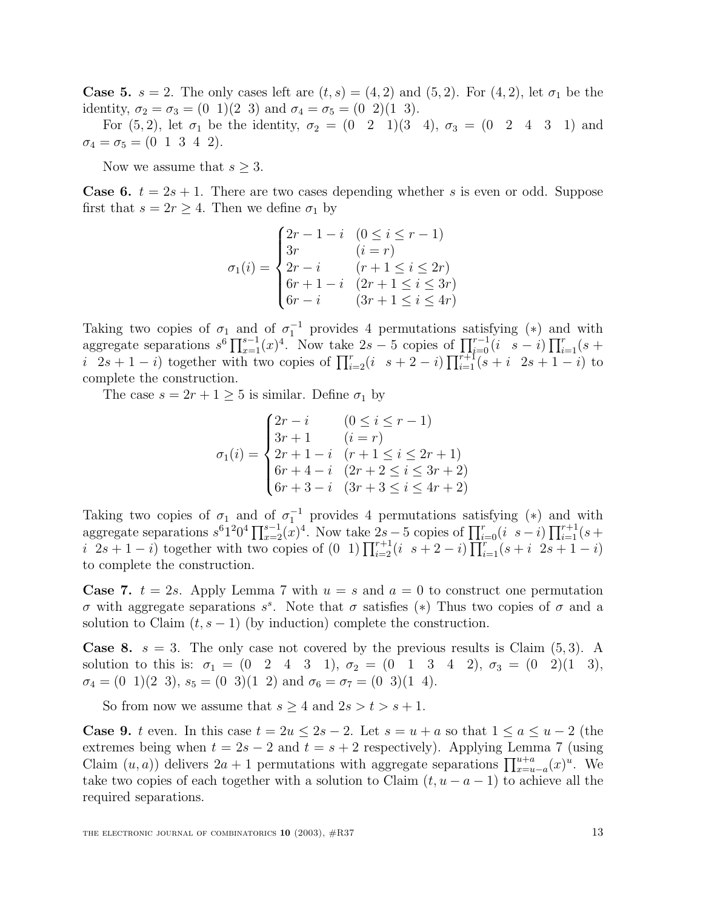**Case 5.**  $s = 2$ . The only cases left are  $(t, s) = (4, 2)$  and  $(5, 2)$ . For  $(4, 2)$ , let  $\sigma_1$  be the identity,  $\sigma_2 = \sigma_3 = (0 \ 1)(2 \ 3)$  and  $\sigma_4 = \sigma_5 = (0 \ 2)(1 \ 3)$ .

For (5, 2), let  $\sigma_1$  be the identity,  $\sigma_2 = (0 \ 2 \ 1)(3 \ 4)$ ,  $\sigma_3 = (0 \ 2 \ 4 \ 3 \ 1)$  and  $\sigma_4 = \sigma_5 = (0 \ 1 \ 3 \ 4 \ 2).$ 

Now we assume that  $s \geq 3$ .

**Case 6.**  $t = 2s + 1$ . There are two cases depending whether s is even or odd. Suppose first that  $s = 2r \geq 4$ . Then we define  $\sigma_1$  by

$$
\sigma_1(i) = \begin{cases}\n2r - 1 - i & (0 \le i \le r - 1) \\
3r & (i = r) \\
2r - i & (r + 1 \le i \le 2r) \\
6r + 1 - i & (2r + 1 \le i \le 3r) \\
6r - i & (3r + 1 \le i \le 4r)\n\end{cases}
$$

Taking two copies of  $\sigma_1$  and of  $\sigma_1^{-1}$  provides 4 permutations satisfying (\*) and with aggregate separations  $s^6 \prod_{x=1}^{s-1} (x)^4$ . Now take 2s – 5 copies of  $\prod_{i=0}^{r-1} (i \ s - i) \prod_{i=1}^r (s +$ i  $2s + 1 - i$ ) together with two copies of  $\prod_{i=2}^{r} (i + 2i + 2i) \prod_{i=1}^{r+1} (s + i + 2s + 1 - i)$  to complete the construction.

The case  $s = 2r + 1 \geq 5$  is similar. Define  $\sigma_1$  by

$$
\sigma_1(i) = \begin{cases}\n2r - i & (0 \le i \le r - 1) \\
3r + 1 & (i = r) \\
2r + 1 - i & (r + 1 \le i \le 2r + 1) \\
6r + 4 - i & (2r + 2 \le i \le 3r + 2) \\
6r + 3 - i & (3r + 3 \le i \le 4r + 2)\n\end{cases}
$$

Taking two copies of  $\sigma_1$  and of  $\sigma_1^{-1}$  provides 4 permutations satisfying (\*) and with aggregate separations  $s^61^20^4\prod_{x=2}^{s-1} (x)^4$ . Now take  $2s-5$  copies of  $\prod_{i=0}^r (i \ s-i) \prod_{i=1}^{r+1} (s+i)$ i  $2s + 1 - i$  together with two copies of  $(0, 1) \prod_{i=2}^{r+1} (i + 2 - i) \prod_{i=1}^{r} (s + i \sum_{i=1}^{r} (-i + 1 - i))$ to complete the construction.

**Case 7.**  $t = 2s$ . Apply Lemma 7 with  $u = s$  and  $a = 0$  to construct one permutation σ with aggregate separations s<sup>s</sup>. Note that σ satisfies (\*) Thus two copies of σ and a solution to Claim  $(t, s - 1)$  (by induction) complete the construction.

**Case 8.**  $s = 3$ . The only case not covered by the previous results is Claim  $(5,3)$ . A solution to this is:  $\sigma_1 = (0 \ 2 \ 4 \ 3 \ 1), \sigma_2 = (0 \ 1 \ 3 \ 4 \ 2), \sigma_3 = (0 \ 2)(1 \ 3),$  $\sigma_4 = (0 \ 1)(2 \ 3), s_5 = (0 \ 3)(1 \ 2)$  and  $\sigma_6 = \sigma_7 = (0 \ 3)(1 \ 4).$ 

So from now we assume that  $s \geq 4$  and  $2s > t > s + 1$ .

**Case 9.** t even. In this case  $t = 2u \leq 2s - 2$ . Let  $s = u + a$  so that  $1 \leq a \leq u - 2$  (the extremes being when  $t = 2s - 2$  and  $t = s + 2$  respectively). Applying Lemma 7 (using Claim  $(u, a)$ ) delivers  $2a + 1$  permutations with aggregate separations  $\prod_{x=u-a}^{u+a} (x)^u$ . We take two copies of each together with a solution to Claim  $(t, u - a - 1)$  to achieve all the required separations.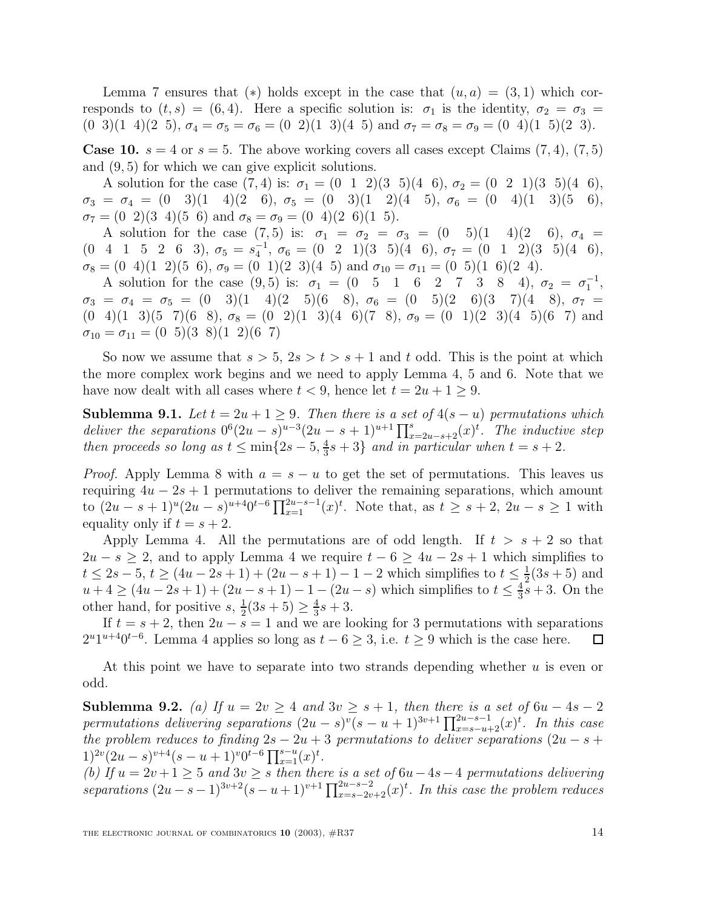Lemma 7 ensures that (\*) holds except in the case that  $(u, a) = (3, 1)$  which corresponds to  $(t, s) = (6, 4)$ . Here a specific solution is:  $\sigma_1$  is the identity,  $\sigma_2 = \sigma_3 =$ (0 3)(1 4)(2 5),  $\sigma_4 = \sigma_5 = \sigma_6 = (0 2)(1 3)(4 5)$  and  $\sigma_7 = \sigma_8 = \sigma_9 = (0 4)(1 5)(2 3)$ .

**Case 10.**  $s = 4$  or  $s = 5$ . The above working covers all cases except Claims  $(7, 4)$ ,  $(7, 5)$ and (9, 5) for which we can give explicit solutions.

A solution for the case  $(7, 4)$  is:  $\sigma_1 = (0 \ 1 \ 2)(3 \ 5)(4 \ 6), \sigma_2 = (0 \ 2 \ 1)(3 \ 5)(4 \ 6),$  $\sigma_3 = \sigma_4 = (0 \quad 3)(1 \quad 4)(2 \quad 6), \ \sigma_5 = (0 \quad 3)(1 \quad 2)(4 \quad 5), \ \sigma_6 = (0 \quad 4)(1 \quad 3)(5 \quad 6),$  $\sigma_7 = (0 \ 2)(3 \ 4)(5 \ 6)$  and  $\sigma_8 = \sigma_9 = (0 \ 4)(2 \ 6)(1 \ 5).$ 

A solution for the case (7,5) is:  $\sigma_1 = \sigma_2 = \sigma_3 = (0 \quad 5)(1 \quad 4)(2 \quad 6), \sigma_4 =$  $(0 \t4 \t1 \t5 \t2 \t6 \t3), \sigma_5 = s_4^{-1}, \sigma_6 = (0 \t2 \t1)(3 \t5)(4 \t6), \sigma_7 = (0 \t1 \t2)(3 \t5)(4 \t6),$  $\sigma_8 = (0 \t4)(1 \t2)(5 \t6), \sigma_9 = (0 \t1)(2 \t3)(4 \t5)$  and  $\sigma_{10} = \sigma_{11} = (0 \t5)(1 \t6)(2 \t4).$ 

A solution for the case  $(9,5)$  is:  $\sigma_1 = (0 \quad 5 \quad 1 \quad 6 \quad 2 \quad 7 \quad 3 \quad 8 \quad 4), \sigma_2 = \sigma_1^{-1}$ ,  $\sigma_3 = \sigma_4 = \sigma_5 = (0 \quad 3)(1 \quad 4)(2 \quad 5)(6 \quad 8), \ \sigma_6 = (0 \quad 5)(2 \quad 6)(3 \quad 7)(4 \quad 8), \ \sigma_7 =$  $(0\ 4)(1\ 3)(5\ 7)(6\ 8), \sigma_8 = (0\ 2)(1\ 3)(4\ 6)(7\ 8), \sigma_9 = (0\ 1)(2\ 3)(4\ 5)(6\ 7)$  and  $\sigma_{10} = \sigma_{11} = (0 \ 5)(3 \ 8)(1 \ 2)(6 \ 7)$ 

So now we assume that  $s > 5$ ,  $2s > t > s + 1$  and t odd. This is the point at which the more complex work begins and we need to apply Lemma 4, 5 and 6. Note that we have now dealt with all cases where  $t < 9$ , hence let  $t = 2u + 1 \ge 9$ .

**Sublemma 9.1.** Let  $t = 2u + 1 \geq 9$ . Then there is a set of  $4(s - u)$  permutations which deliver the separations  $0^6(2u-s)^{u-3}(2u-s+1)^{u+1}\prod_{x=2u-s+2}^{s}(x)^t$ . The inductive step then proceeds so long as  $t \leq \min\{2s-5, \frac{4}{3}s+3\}$  and in particular when  $t = s + 2$ .

*Proof.* Apply Lemma 8 with  $a = s - u$  to get the set of permutations. This leaves us requiring  $4u - 2s + 1$  permutations to deliver the remaining separations, which amount to  $(2u-s+1)^u(2u-s)^{u+4}0^{t-6}\prod_{x=1}^{2u-s-1}(x)^t$ . Note that, as  $t \geq s+2$ ,  $2u-s \geq 1$  with equality only if  $t = s + 2$ .

Apply Lemma 4. All the permutations are of odd length. If  $t > s + 2$  so that  $2u - s \geq 2$ , and to apply Lemma 4 we require  $t - 6 \geq 4u - 2s + 1$  which simplifies to  $t \le 2s - 5$ ,  $t \ge (4u - 2s + 1) + (2u - s + 1) - 1 - 2$  which simplifies to  $t \le \frac{1}{2}(3s + 5)$  and  $u+4 \geq (4u-2s+1) + (2u-s+1) - 1 - (2u-s)$  which simplifies to  $t \leq \frac{4}{3}s+3$ . On the other hand, for positive  $s, \frac{1}{2}(3s+5) \geq \frac{4}{3}s + 3$ .

If  $t = s + 2$ , then  $2u - s = 1$  and we are looking for 3 permutations with separations  $2^{u}1^{u+4}0^{t-6}$ . Lemma 4 applies so long as  $t-6 \geq 3$ , i.e.  $t \geq 9$  which is the case here.  $\Box$ 

At this point we have to separate into two strands depending whether  $u$  is even or odd.

**Sublemma 9.2.** (a) If  $u = 2v \ge 4$  and  $3v \ge s + 1$ , then there is a set of  $6u - 4s - 2$ permutations delivering separations  $(2u-s)^{v}(s-u+1)^{3v+1}\prod_{x=s-u+2}^{2u-s-1}(x)^{t}$ . In this case the problem reduces to finding  $2s - 2u + 3$  permutations to deliver separations  $(2u - s +$  $1)^{2v}(2u-s)^{v+4}(s-u+1)^{v}0^{t-6}\prod_{x=1}^{s-u}(x)^{t}.$ 

(b) If  $u = 2v + 1 \ge 5$  and  $3v \ge 5$  then there is a set of  $6u - 4s - 4$  permutations delivering separations  $(2u-s-1)^{3v+2}(s-u+1)^{v+1}\prod_{x=s-2v+2}^{2u-s-2}(x)^t$ . In this case the problem reduces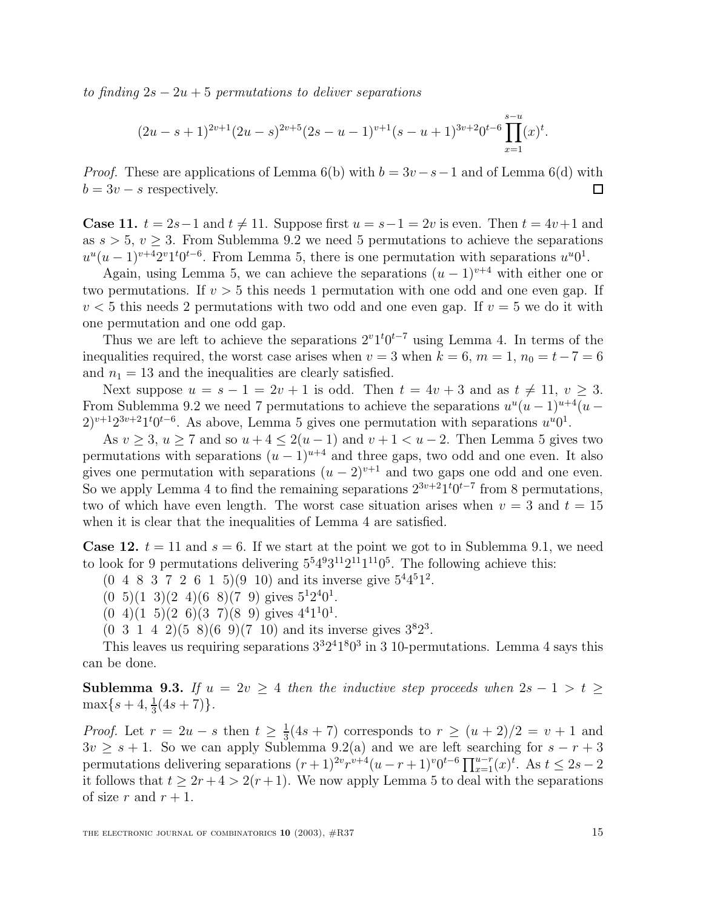to finding  $2s - 2u + 5$  permutations to deliver separations

$$
(2u-s+1)^{2v+1}(2u-s)^{2v+5}(2s-u-1)^{v+1}(s-u+1)^{3v+2}0^{t-6}\prod_{x=1}^{s-u}(x)^{t}.
$$

*Proof.* These are applications of Lemma 6(b) with  $b = 3v - s - 1$  and of Lemma 6(d) with  $b = 3v - s$  respectively.  $\Box$ 

**Case 11.**  $t = 2s-1$  and  $t \neq 11$ . Suppose first  $u = s-1 = 2v$  is even. Then  $t = 4v+1$  and as  $s > 5$ ,  $v > 3$ . From Sublemma 9.2 we need 5 permutations to achieve the separations  $u^{u}(u-1)^{v+4}2^{v}1^{t}0^{t-6}$ . From Lemma 5, there is one permutation with separations  $u^{u}0^{1}$ .

Again, using Lemma 5, we can achieve the separations  $(u - 1)^{v+4}$  with either one or two permutations. If  $v > 5$  this needs 1 permutation with one odd and one even gap. If  $v < 5$  this needs 2 permutations with two odd and one even gap. If  $v = 5$  we do it with one permutation and one odd gap.

Thus we are left to achieve the separations  $2^v1^t0^{t-7}$  using Lemma 4. In terms of the inequalities required, the worst case arises when  $v = 3$  when  $k = 6$ ,  $m = 1$ ,  $n_0 = t - 7 = 6$ and  $n_1 = 13$  and the inequalities are clearly satisfied.

Next suppose  $u = s - 1 = 2v + 1$  is odd. Then  $t = 4v + 3$  and as  $t \neq 11$ ,  $v \geq 3$ . From Sublemma 9.2 we need 7 permutations to achieve the separations  $u^u(u - 1)^{u+4}(u 2)^{v+1}2^{3v+2}1^t0^{t-6}$ . As above, Lemma 5 gives one permutation with separations  $u^u0^1$ .

As  $v \geq 3$ ,  $u \geq 7$  and so  $u + 4 \leq 2(u - 1)$  and  $v + 1 < u - 2$ . Then Lemma 5 gives two permutations with separations  $(u - 1)^{u+4}$  and three gaps, two odd and one even. It also gives one permutation with separations  $(u - 2)^{v+1}$  and two gaps one odd and one even. So we apply Lemma 4 to find the remaining separations  $2^{3v+2}1^t0^{t-7}$  from 8 permutations, two of which have even length. The worst case situation arises when  $v = 3$  and  $t = 15$ when it is clear that the inequalities of Lemma 4 are satisfied.

**Case 12.**  $t = 11$  and  $s = 6$ . If we start at the point we got to in Sublemma 9.1, we need to look for 9 permutations delivering  $5^54^93^{11}2^{11}1^{11}0^5$ . The following achieve this:

- $(0, 4, 8, 3, 7, 2, 6, 1, 5)$  $(9, 10)$  and its inverse give  $5<sup>4</sup>4<sup>5</sup>1<sup>2</sup>$ .
- $(0 5)(1 3)(2 4)(6 8)(7 9)$  gives  $5^{1}2^{4}0^{1}$ .
- $(0\ 4)(1\ 5)(2\ 6)(3\ 7)(8\ 9)$  gives  $4^41^10^1$ .
- $(0\ 3\ 1\ 4\ 2)(5\ 8)(6\ 9)(7\ 10)$  and its inverse gives  $3^82^3$ .

This leaves us requiring separations  $3^{3}2^{4}1^{8}0^{3}$  in 3 10-permutations. Lemma 4 says this can be done.

**Sublemma 9.3.** If  $u = 2v \geq 4$  then the inductive step proceeds when  $2s - 1 > t \geq 1$  $\max\{s+4, \frac{1}{3}(4s+7)\}.$ 

*Proof.* Let  $r = 2u - s$  then  $t \ge \frac{1}{3}(4s + 7)$  corresponds to  $r \ge (u + 2)/2 = v + 1$  and  $3v \geq s + 1$ . So we can apply Sublemma 9.2(a) and we are left searching for  $s - r + 3$ permutations delivering separations  $(r+1)^{2v}r^{v+4}(u-r+1)v0^{t-6}\prod_{x=1}^{u-r}(x)^t$ . As  $t \leq 2s-2$ it follows that  $t \geq 2r+4 > 2(r+1)$ . We now apply Lemma 5 to deal with the separations of size r and  $r + 1$ .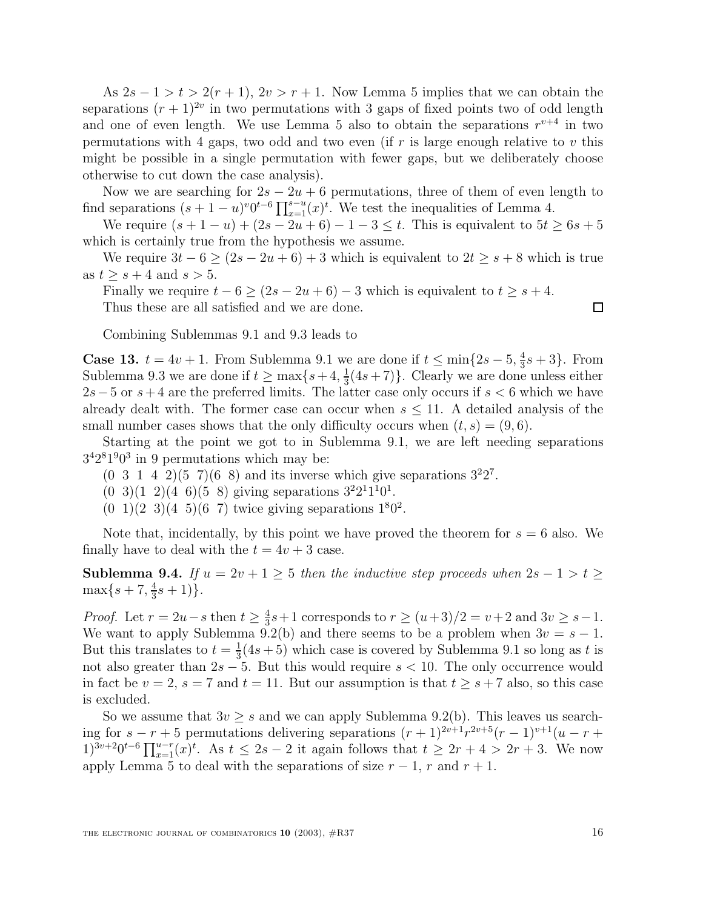As  $2s - 1 > t > 2(r + 1)$ ,  $2v > r + 1$ . Now Lemma 5 implies that we can obtain the separations  $(r + 1)^{2v}$  in two permutations with 3 gaps of fixed points two of odd length and one of even length. We use Lemma 5 also to obtain the separations  $r^{v+4}$  in two permutations with 4 gaps, two odd and two even (if  $r$  is large enough relative to  $v$  this might be possible in a single permutation with fewer gaps, but we deliberately choose otherwise to cut down the case analysis).

Now we are searching for  $2s - 2u + 6$  permutations, three of them of even length to find separations  $(s + 1 - u)^{v} 0^{t-6} \prod_{x=1}^{s-u} (x)^{t}$ . We test the inequalities of Lemma 4.

We require  $(s + 1 - u) + (2s - 2u + 6) - 1 - 3 \le t$ . This is equivalent to  $5t \ge 6s + 5$ which is certainly true from the hypothesis we assume.

We require  $3t - 6 \ge (2s - 2u + 6) + 3$  which is equivalent to  $2t \ge s + 8$  which is true as  $t \geq s+4$  and  $s > 5$ .

Finally we require  $t - 6 \ge (2s - 2u + 6) - 3$  which is equivalent to  $t \ge s + 4$ . Thus these are all satisfied and we are done.

Combining Sublemmas 9.1 and 9.3 leads to

**Case 13.**  $t = 4v + 1$ . From Sublemma 9.1 we are done if  $t \le \min\{2s - 5, \frac{4}{3}s + 3\}$ . From Sublemma 9.3 we are done if  $t \ge \max\{s+4, \frac{1}{3}(4s+7)\}\)$ . Clearly we are done unless either  $2s-5$  or  $s+4$  are the preferred limits. The latter case only occurs if  $s < 6$  which we have already dealt with. The former case can occur when  $s \leq 11$ . A detailed analysis of the small number cases shows that the only difficulty occurs when  $(t, s) = (9, 6)$ .

Starting at the point we got to in Sublemma 9.1, we are left needing separations  $3<sup>4</sup>2<sup>8</sup>1<sup>9</sup>0<sup>3</sup>$  in 9 permutations which may be:

- $(0\ 3\ 1\ 4\ 2)(5\ 7)(6\ 8)$  and its inverse which give separations  $3^22^7$ .
- $(0\ 3)(1\ 2)(4\ 6)(5\ 8)$  giving separations  $3^22^11^10^1$ .
- $(0\ \ 1)(2\ \ 3)(4\ \ 5)(6\ \ 7)$  twice giving separations  $1^80^2$ .

Note that, incidentally, by this point we have proved the theorem for  $s = 6$  also. We finally have to deal with the  $t = 4v + 3$  case.

**Sublemma 9.4.** If  $u = 2v + 1 \ge 5$  then the inductive step proceeds when  $2s - 1 > t \ge 5$  $\max\{s+7, \frac{4}{3}s+1)\}.$ 

*Proof.* Let  $r = 2u - s$  then  $t \ge \frac{4}{3}s + 1$  corresponds to  $r \ge (u+3)/2 = v+2$  and  $3v \ge s-1$ . We want to apply Sublemma 9.2(b) and there seems to be a problem when  $3v = s - 1$ . But this translates to  $t = \frac{1}{3}(4s+5)$  which case is covered by Sublemma 9.1 so long as t is not also greater than  $2s - 5$ . But this would require  $s < 10$ . The only occurrence would in fact be  $v = 2$ ,  $s = 7$  and  $t = 11$ . But our assumption is that  $t \geq s + 7$  also, so this case is excluded.

So we assume that  $3v \geq s$  and we can apply Sublemma 9.2(b). This leaves us searching for  $s - r + 5$  permutations delivering separations  $(r + 1)^{2v+1}r^{2v+5}(r - 1)^{v+1}(u - r +$  $1)^{3v+2}0^{t-6}\prod_{x=1}^{u-r}(x)^t$ . As  $t \leq 2s-2$  it again follows that  $t \geq 2r+4 > 2r+3$ . We now apply Lemma 5 to deal with the separations of size  $r-1$ , r and  $r+1$ .

 $\Box$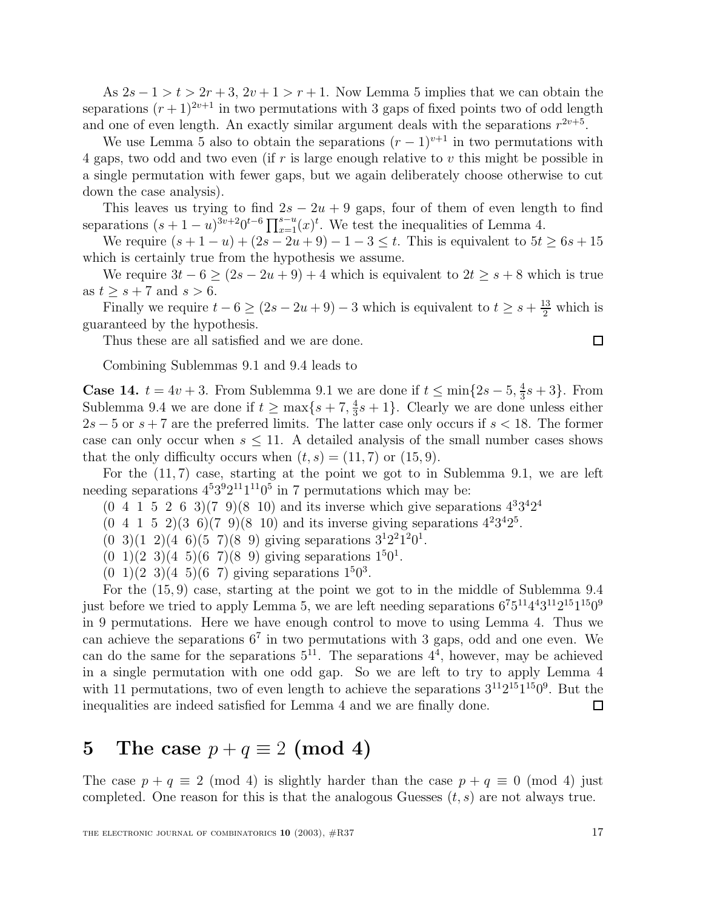As  $2s - 1 > t > 2r + 3$ ,  $2v + 1 > r + 1$ . Now Lemma 5 implies that we can obtain the separations  $(r+1)^{2v+1}$  in two permutations with 3 gaps of fixed points two of odd length and one of even length. An exactly similar argument deals with the separations  $r^{2v+5}$ .

We use Lemma 5 also to obtain the separations  $(r-1)^{v+1}$  in two permutations with 4 gaps, two odd and two even (if  $r$  is large enough relative to  $v$  this might be possible in a single permutation with fewer gaps, but we again deliberately choose otherwise to cut down the case analysis).

This leaves us trying to find  $2s - 2u + 9$  gaps, four of them of even length to find separations  $(s + 1 - u)^{3v+2} 0^{t-6} \prod_{x=1}^{s-u} (x)^t$ . We test the inequalities of Lemma 4.

We require  $(s + 1 - u) + (2s - 2u + 9) - 1 - 3 \le t$ . This is equivalent to  $5t \ge 6s + 15$ which is certainly true from the hypothesis we assume.

We require  $3t - 6 \ge (2s - 2u + 9) + 4$  which is equivalent to  $2t \ge s + 8$  which is true as  $t \geq s + 7$  and  $s > 6$ .

Finally we require  $t - 6 \ge (2s - 2u + 9) - 3$  which is equivalent to  $t \ge s + \frac{13}{2}$  which is guaranteed by the hypothesis.

Thus these are all satisfied and we are done.

$$
\Box
$$

Combining Sublemmas 9.1 and 9.4 leads to

**Case 14.**  $t = 4v + 3$ . From Sublemma 9.1 we are done if  $t \le \min\{2s - 5, \frac{4}{3}s + 3\}$ . From Sublemma 9.4 we are done if  $t \ge \max\{s+7, \frac{4}{3}s + 1\}$ . Clearly we are done unless either  $2s - 5$  or  $s + 7$  are the preferred limits. The latter case only occurs if  $s < 18$ . The former case can only occur when  $s \leq 11$ . A detailed analysis of the small number cases shows that the only difficulty occurs when  $(t, s) = (11, 7)$  or  $(15, 9)$ .

For the (11, 7) case, starting at the point we got to in Sublemma 9.1, we are left needing separations  $4^53^92^{11}1^{11}0^5$  in 7 permutations which may be:

- $(0, 4, 1, 5, 2, 6, 3)(7, 9)(8, 10)$  and its inverse which give separations  $4^{3}3^{4}2^{4}$
- $(0 4 1 5 2)(3 6)(7 9)(8 10)$  and its inverse giving separations  $4^{2}3^{4}2^{5}$ .
- $(0\ 3)(1\ 2)(4\ 6)(5\ 7)(8\ 9)$  giving separations  $3^12^21^20^1$ .
- $(0\;1)(2\;3)(4\;5)(6\;7)(8\;9)$  giving separations  $1^50^1$ .
- $(0\;1)(2\;3)(4\;5)(6\;7)$  giving separations  $1^50^3$ .

For the (15, 9) case, starting at the point we got to in the middle of Sublemma 9.4 just before we tried to apply Lemma 5, we are left needing separations  $6^75^{11}4^43^{11}2^{15}1^{15}0^9$ in 9 permutations. Here we have enough control to move to using Lemma 4. Thus we can achieve the separations  $6^7$  in two permutations with 3 gaps, odd and one even. We can do the same for the separations  $5^{11}$ . The separations  $4^4$ , however, may be achieved in a single permutation with one odd gap. So we are left to try to apply Lemma 4 with 11 permutations, two of even length to achieve the separations  $3^{11}2^{15}1^{15}0^9$ . But the inequalities are indeed satisfied for Lemma 4 and we are finally done.  $\Box$ 

## **5** The case  $p + q \equiv 2 \pmod{4}$

The case  $p + q \equiv 2 \pmod{4}$  is slightly harder than the case  $p + q \equiv 0 \pmod{4}$  just completed. One reason for this is that the analogous Guesses  $(t, s)$  are not always true.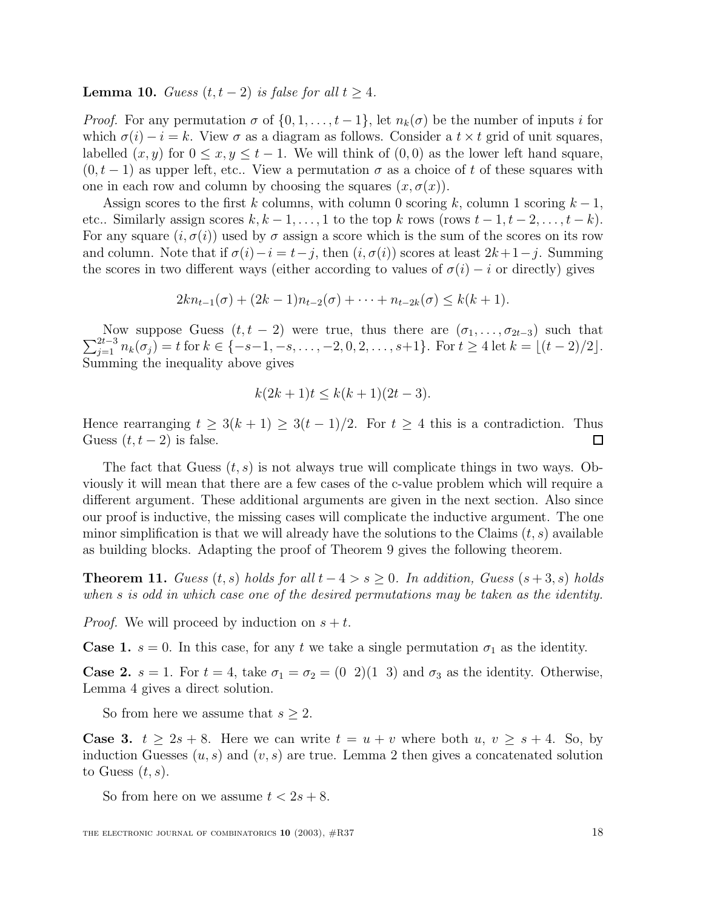**Lemma 10.** Guess  $(t, t-2)$  is false for all  $t \geq 4$ .

*Proof.* For any permutation  $\sigma$  of  $\{0, 1, \ldots, t-1\}$ , let  $n_k(\sigma)$  be the number of inputs i for which  $\sigma(i) - i = k$ . View  $\sigma$  as a diagram as follows. Consider a  $t \times t$  grid of unit squares, labelled  $(x, y)$  for  $0 \le x, y \le t - 1$ . We will think of  $(0, 0)$  as the lower left hand square,  $(0, t-1)$  as upper left, etc.. View a permutation  $\sigma$  as a choice of t of these squares with one in each row and column by choosing the squares  $(x, \sigma(x))$ .

Assign scores to the first k columns, with column 0 scoring k, column 1 scoring  $k-1$ , etc.. Similarly assign scores  $k, k - 1, \ldots, 1$  to the top k rows (rows  $t - 1, t - 2, \ldots, t - k$ ). For any square  $(i, \sigma(i))$  used by  $\sigma$  assign a score which is the sum of the scores on its row and column. Note that if  $\sigma(i) - i = t - j$ , then  $(i, \sigma(i))$  scores at least  $2k+1-j$ . Summing the scores in two different ways (either according to values of  $\sigma(i) - i$  or directly) gives

$$
2kn_{t-1}(\sigma) + (2k-1)n_{t-2}(\sigma) + \cdots + n_{t-2k}(\sigma) \le k(k+1).
$$

 $\sum$ Now suppose Guess  $(t, t - 2)$  were true, thus there are  $(σ<sub>1</sub>, ..., σ<sub>2t-3</sub>)$  such that  $2t-3$   $n<sub>k</sub>(σ<sub>j</sub>) = t$  for  $k ∈ \{-s-1, -s, ..., -2, 0, 2, ..., s+1\}$ . For  $t ≥ 4$  let  $k = \lfloor (t-2)/2 \rfloor$ . Summing the inequality above gives

$$
k(2k+1)t \le k(k+1)(2t-3).
$$

Hence rearranging  $t \geq 3(k+1) \geq 3(t-1)/2$ . For  $t \geq 4$  this is a contradiction. Thus Guess  $(t, t-2)$  is false.  $\Box$ 

The fact that Guess  $(t, s)$  is not always true will complicate things in two ways. Obviously it will mean that there are a few cases of the c-value problem which will require a different argument. These additional arguments are given in the next section. Also since our proof is inductive, the missing cases will complicate the inductive argument. The one minor simplification is that we will already have the solutions to the Claims  $(t, s)$  available as building blocks. Adapting the proof of Theorem 9 gives the following theorem.

**Theorem 11.** Guess  $(t, s)$  holds for all  $t - 4 > s \geq 0$ . In addition, Guess  $(s + 3, s)$  holds when s is odd in which case one of the desired permutations may be taken as the identity.

*Proof.* We will proceed by induction on  $s + t$ .

**Case 1.**  $s = 0$ . In this case, for any t we take a single permutation  $\sigma_1$  as the identity.

**Case 2.**  $s = 1$ . For  $t = 4$ , take  $\sigma_1 = \sigma_2 = (0 \ 2)(1 \ 3)$  and  $\sigma_3$  as the identity. Otherwise, Lemma 4 gives a direct solution.

So from here we assume that  $s \geq 2$ .

**Case 3.**  $t \geq 2s + 8$ . Here we can write  $t = u + v$  where both  $u, v \geq s + 4$ . So, by induction Guesses  $(u, s)$  and  $(v, s)$  are true. Lemma 2 then gives a concatenated solution to Guess  $(t, s)$ .

So from here on we assume  $t < 2s + 8$ .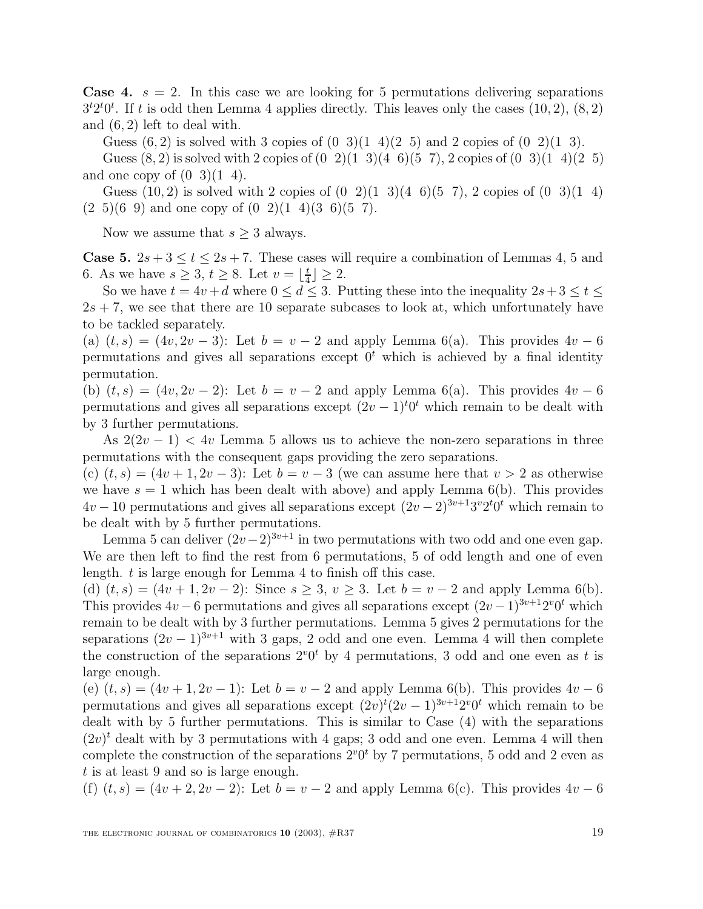**Case 4.**  $s = 2$ . In this case we are looking for 5 permutations delivering separations  $3<sup>t</sup>2<sup>t</sup>0<sup>t</sup>$ . If t is odd then Lemma 4 applies directly. This leaves only the cases  $(10, 2), (8, 2)$ and (6, 2) left to deal with.

Guess  $(6, 2)$  is solved with 3 copies of  $(0, 3)(1, 4)(2, 5)$  and 2 copies of  $(0, 2)(1, 3)$ .

Guess  $(8, 2)$  is solved with 2 copies of  $(0, 2)(1, 3)(4, 6)(5, 7)$ , 2 copies of  $(0, 3)(1, 4)(2, 5)$ and one copy of  $(0\ 3)(1\ 4)$ .

Guess  $(10, 2)$  is solved with 2 copies of  $(0, 2)(1, 3)(4, 6)(5, 7)$ , 2 copies of  $(0, 3)(1, 4)$  $(2\ 5)(6\ 9)$  and one copy of  $(0\ 2)(1\ 4)(3\ 6)(5\ 7)$ .

Now we assume that  $s \geq 3$  always.

**Case 5.**  $2s + 3 \le t \le 2s + 7$ . These cases will require a combination of Lemmas 4, 5 and 6. As we have  $s \geq 3$ ,  $t \geq 8$ . Let  $v = \lfloor \frac{t}{4} \rfloor \geq 2$ .

So we have  $t = 4v + d$  where  $0 \le d \le 3$ . Putting these into the inequality  $2s+3 \le t \le$  $2s + 7$ , we see that there are 10 separate subcases to look at, which unfortunately have to be tackled separately.

(a)  $(t, s) = (4v, 2v - 3)$ : Let  $b = v - 2$  and apply Lemma 6(a). This provides  $4v - 6$ permutations and gives all separations except  $0<sup>t</sup>$  which is achieved by a final identity permutation.

(b)  $(t, s) = (4v, 2v - 2)$ : Let  $b = v - 2$  and apply Lemma 6(a). This provides  $4v - 6$ permutations and gives all separations except  $(2v-1)<sup>t</sup>0<sup>t</sup>$  which remain to be dealt with by 3 further permutations.

As  $2(2v-1) < 4v$  Lemma 5 allows us to achieve the non-zero separations in three permutations with the consequent gaps providing the zero separations.

(c)  $(t, s) = (4v + 1, 2v - 3)$ : Let  $b = v - 3$  (we can assume here that  $v > 2$  as otherwise we have  $s = 1$  which has been dealt with above) and apply Lemma 6(b). This provides  $4v - 10$  permutations and gives all separations except  $(2v - 2)^{3v+1}3^v2^t0^t$  which remain to be dealt with by 5 further permutations.

Lemma 5 can deliver  $(2v-2)^{3v+1}$  in two permutations with two odd and one even gap. We are then left to find the rest from 6 permutations, 5 of odd length and one of even length. t is large enough for Lemma 4 to finish off this case.

(d)  $(t, s) = (4v + 1, 2v - 2)$ : Since  $s \geq 3$ ,  $v \geq 3$ . Let  $b = v - 2$  and apply Lemma 6(b). This provides  $4v - 6$  permutations and gives all separations except  $(2v - 1)^{3v+1}2^v0^t$  which remain to be dealt with by 3 further permutations. Lemma 5 gives 2 permutations for the separations  $(2v-1)^{3v+1}$  with 3 gaps, 2 odd and one even. Lemma 4 will then complete the construction of the separations  $2^{v}0^{t}$  by 4 permutations, 3 odd and one even as t is large enough.

(e)  $(t, s) = (4v + 1, 2v - 1)$ : Let  $b = v - 2$  and apply Lemma 6(b). This provides  $4v - 6$ permutations and gives all separations except  $(2v)^t(2v-1)^{3v+1}2^v0^t$  which remain to be dealt with by 5 further permutations. This is similar to Case (4) with the separations  $(2v)^t$  dealt with by 3 permutations with 4 gaps; 3 odd and one even. Lemma 4 will then complete the construction of the separations  $2^{\nu}0^t$  by 7 permutations, 5 odd and 2 even as t is at least 9 and so is large enough.

(f)  $(t, s) = (4v + 2, 2v - 2)$ : Let  $b = v - 2$  and apply Lemma 6(c). This provides  $4v - 6$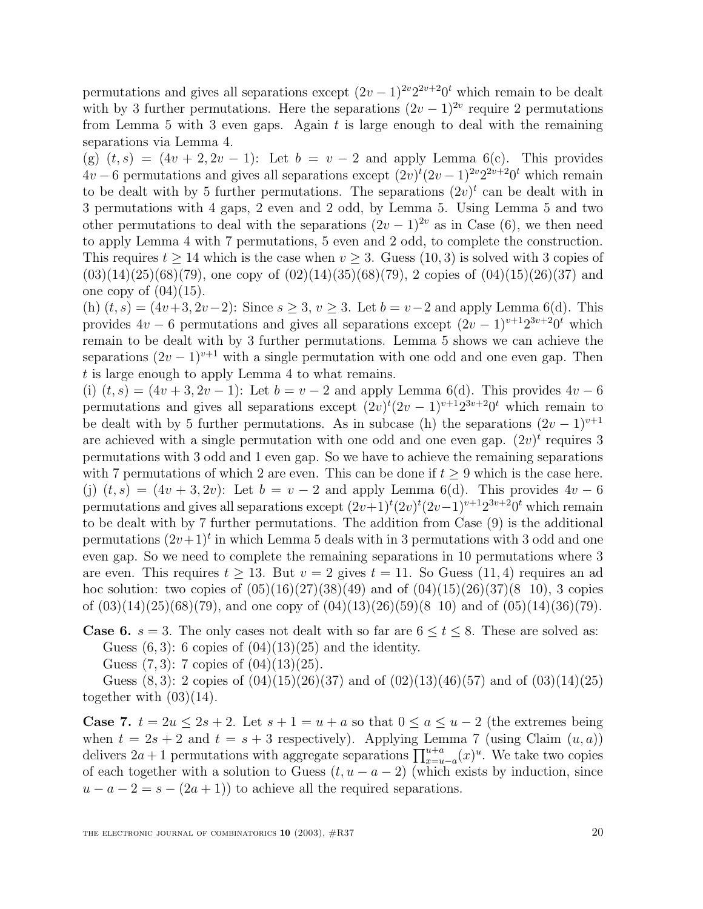permutations and gives all separations except  $(2v-1)^{2v}2^{2v+2}0^t$  which remain to be dealt with by 3 further permutations. Here the separations  $(2v - 1)^{2v}$  require 2 permutations from Lemma 5 with 3 even gaps. Again  $t$  is large enough to deal with the remaining separations via Lemma 4.

(g)  $(t,s) = (4v + 2, 2v - 1)$ : Let  $b = v - 2$  and apply Lemma 6(c). This provides  $4v-6$  permutations and gives all separations except  $(2v)^{t}(2v-1)^{2v}2^{2v+2}0^{t}$  which remain to be dealt with by 5 further permutations. The separations  $(2v)^t$  can be dealt with in 3 permutations with 4 gaps, 2 even and 2 odd, by Lemma 5. Using Lemma 5 and two other permutations to deal with the separations  $(2v - 1)^{2v}$  as in Case (6), we then need to apply Lemma 4 with 7 permutations, 5 even and 2 odd, to complete the construction. This requires  $t \geq 14$  which is the case when  $v \geq 3$ . Guess  $(10, 3)$  is solved with 3 copies of  $(03)(14)(25)(68)(79)$ , one copy of  $(02)(14)(35)(68)(79)$ , 2 copies of  $(04)(15)(26)(37)$  and one copy of  $(04)(15)$ .

(h)  $(t, s) = (4v+3, 2v-2)$ : Since  $s \ge 3$ ,  $v \ge 3$ . Let  $b = v-2$  and apply Lemma 6(d). This provides  $4v - 6$  permutations and gives all separations except  $(2v - 1)^{v+1}2^{3v+2}0^t$  which remain to be dealt with by 3 further permutations. Lemma 5 shows we can achieve the separations  $(2v-1)^{v+1}$  with a single permutation with one odd and one even gap. Then t is large enough to apply Lemma 4 to what remains.

(i)  $(t, s) = (4v + 3, 2v - 1)$ : Let  $b = v - 2$  and apply Lemma 6(d). This provides  $4v - 6$ permutations and gives all separations except  $(2v)^{t}(2v-1)^{v+1}2^{3v+2}0^{t}$  which remain to be dealt with by 5 further permutations. As in subcase (h) the separations  $(2v - 1)^{v+1}$ are achieved with a single permutation with one odd and one even gap.  $(2v)^t$  requires 3 permutations with 3 odd and 1 even gap. So we have to achieve the remaining separations with 7 permutations of which 2 are even. This can be done if  $t \geq 9$  which is the case here. (j)  $(t, s) = (4v + 3, 2v)$ : Let  $b = v - 2$  and apply Lemma 6(d). This provides  $4v - 6$ permutations and gives all separations except  $(2v+1)^t(2v)^t(2v-1)^{v+1}2^{3v+2}0^t$  which remain to be dealt with by 7 further permutations. The addition from Case (9) is the additional permutations  $(2v+1)^t$  in which Lemma 5 deals with in 3 permutations with 3 odd and one even gap. So we need to complete the remaining separations in 10 permutations where 3 are even. This requires  $t \geq 13$ . But  $v = 2$  gives  $t = 11$ . So Guess (11, 4) requires an ad hoc solution: two copies of  $(05)(16)(27)(38)(49)$  and of  $(04)(15)(26)(37)(8\; 10)$ , 3 copies of  $(03)(14)(25)(68)(79)$ , and one copy of  $(04)(13)(26)(59)(8\ 10)$  and of  $(05)(14)(36)(79)$ .

**Case 6.**  $s = 3$ . The only cases not dealt with so far are  $6 \le t \le 8$ . These are solved as: Guess  $(6, 3)$ : 6 copies of  $(04)(13)(25)$  and the identity.

Guess  $(7, 3)$ : 7 copies of  $(04)(13)(25)$ .

Guess  $(8,3)$ : 2 copies of  $(04)(15)(26)(37)$  and of  $(02)(13)(46)(57)$  and of  $(03)(14)(25)$ together with  $(03)(14)$ .

**Case 7.**  $t = 2u \leq 2s + 2$ . Let  $s + 1 = u + a$  so that  $0 \leq a \leq u - 2$  (the extremes being when  $t = 2s + 2$  and  $t = s + 3$  respectively). Applying Lemma 7 (using Claim  $(u, a)$ ) delivers  $2a + 1$  permutations with aggregate separations  $\prod_{x=u-a}^{u+a} (x)^u$ . We take two copies of each together with a solution to Guess  $(t, u - a - 2)$  (which exists by induction, since  $u - a - 2 = s - (2a + 1)$  to achieve all the required separations.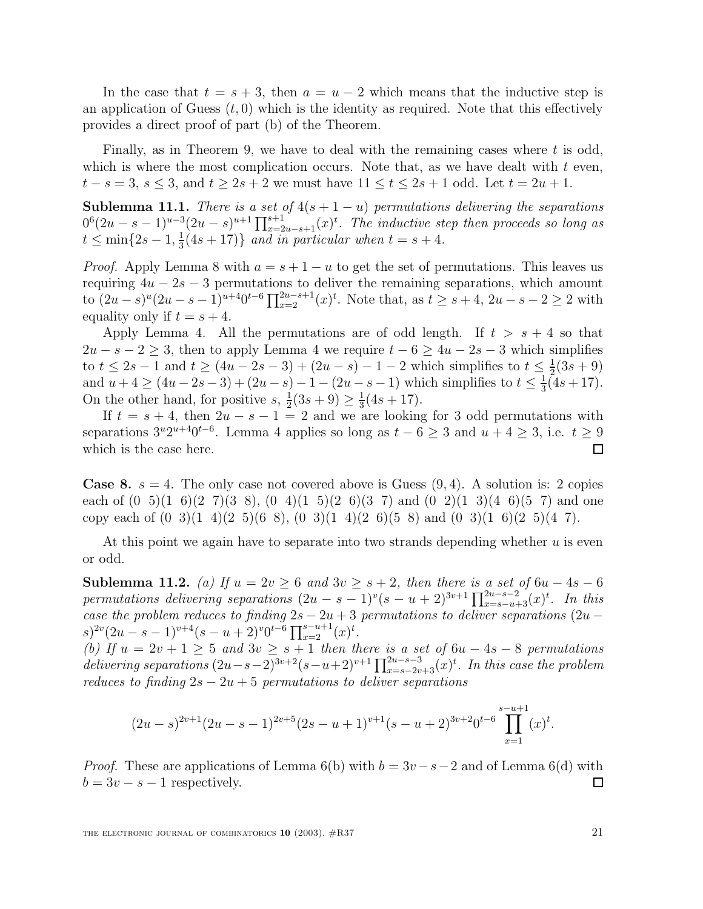In the case that  $t = s + 3$ , then  $a = u - 2$  which means that the inductive step is an application of Guess  $(t, 0)$  which is the identity as required. Note that this effectively provides a direct proof of part (b) of the Theorem.

Finally, as in Theorem 9, we have to deal with the remaining cases where  $t$  is odd, which is where the most complication occurs. Note that, as we have dealt with  $t$  even,  $t - s = 3$ ,  $s \leq 3$ , and  $t \geq 2s + 2$  we must have  $11 \leq t \leq 2s + 1$  odd. Let  $t = 2u + 1$ .

**Sublemma 11.1.** There is a set of  $4(s + 1 - u)$  permutations delivering the separations  $0<sup>6</sup>(2u-s-1)<sup>u-3</sup>(2u-s)<sup>u+1</sup>\prod_{x=2u-s+1}^{s+1}(x)<sup>t</sup>$ . The inductive step then proceeds so long as  $t \leq \min\{2s-1,\frac{1}{3}(4s+17)\}\$  and in particular when  $t = s + 4$ .

*Proof.* Apply Lemma 8 with  $a = s + 1 - u$  to get the set of permutations. This leaves us requiring  $4u - 2s - 3$  permutations to deliver the remaining separations, which amount to  $(2u-s)^u(2u-s-1)^{u+4}0^{t-6}\prod_{x=2}^{2u-s+1}(x)^t$ . Note that, as  $t \geq s+4$ ,  $2u-s-2 \geq 2$  with equality only if  $t = s + 4$ .

Apply Lemma 4. All the permutations are of odd length. If  $t > s + 4$  so that  $2u - s - 2 > 3$ , then to apply Lemma 4 we require  $t - 6 > 4u - 2s - 3$  which simplifies to  $t \le 2s - 1$  and  $t \ge (4u - 2s - 3) + (2u - s) - 1 - 2$  which simplifies to  $t \le \frac{1}{2}(3s + 9)$ and  $u + 4 \ge (4u - 2s - 3) + (2u - s) - 1 - (2u - s - 1)$  which simplifies to  $t \le \frac{1}{3}(4s + 17)$ . On the other hand, for positive  $s, \frac{1}{2}(3s+9) \geq \frac{1}{3}(4s+17)$ .

If  $t = s + 4$ , then  $2u - s - 1 = 2$  and we are looking for 3 odd permutations with separations  $3^u 2^{u+4} 0^{t-6}$ . Lemma 4 applies so long as  $t-6 \geq 3$  and  $u+4 \geq 3$ , i.e.  $t \geq 9$ which is the case here.  $\Box$ 

**Case 8.**  $s = 4$ . The only case not covered above is Guess  $(9, 4)$ . A solution is: 2 copies each of  $(0, 5)(1, 6)(2, 7)(3, 8)$ ,  $(0, 4)(1, 5)(2, 6)(3, 7)$  and  $(0, 2)(1, 3)(4, 6)(5, 7)$  and one copy each of  $(0\ 3)(1\ 4)(2\ 5)(6\ 8)$ ,  $(0\ 3)(1\ 4)(2\ 6)(5\ 8)$  and  $(0\ 3)(1\ 6)(2\ 5)(4\ 7)$ .

At this point we again have to separate into two strands depending whether  $u$  is even or odd.

**Sublemma 11.2.** (a) If  $u = 2v ≥ 6$  and  $3v ≥ s + 2$ , then there is a set of  $6u - 4s - 6$ permutations delivering separations  $(2u - s - 1)^v(s - u + 2)^{3v+1} \prod_{x=s-u+3}^{2u-s-2} (x)^t$ . In this case the problem reduces to finding  $2s - 2u + 3$  permutations to deliver separations  $(2u (s)^{2v}(2u-s-1)^{v+4}(s-u+2)^{v}0^{t-6}\prod_{x=2}^{s-u+1}(x)^{t}.$ 

(b) If  $u = 2v + 1 \geq 5$  and  $3v \geq s + 1$  then there is a set of  $6u - 4s - 8$  permutations delivering separations  $(2u-s-2)^{3v+2}(s-u+2)^{v+1}\prod_{x=s-2v+3}^{2u-s-3}(x)^t$ . In this case the problem reduces to finding  $2s - 2u + 5$  permutations to deliver separations

$$
(2u-s)^{2v+1}(2u-s-1)^{2v+5}(2s-u+1)^{v+1}(s-u+2)^{3v+2}0^{t-6}\prod_{x=1}^{s-u+1}(x)^{t}.
$$

*Proof.* These are applications of Lemma 6(b) with  $b = 3v - s - 2$  and of Lemma 6(d) with  $b = 3v - s - 1$  respectively.  $\Box$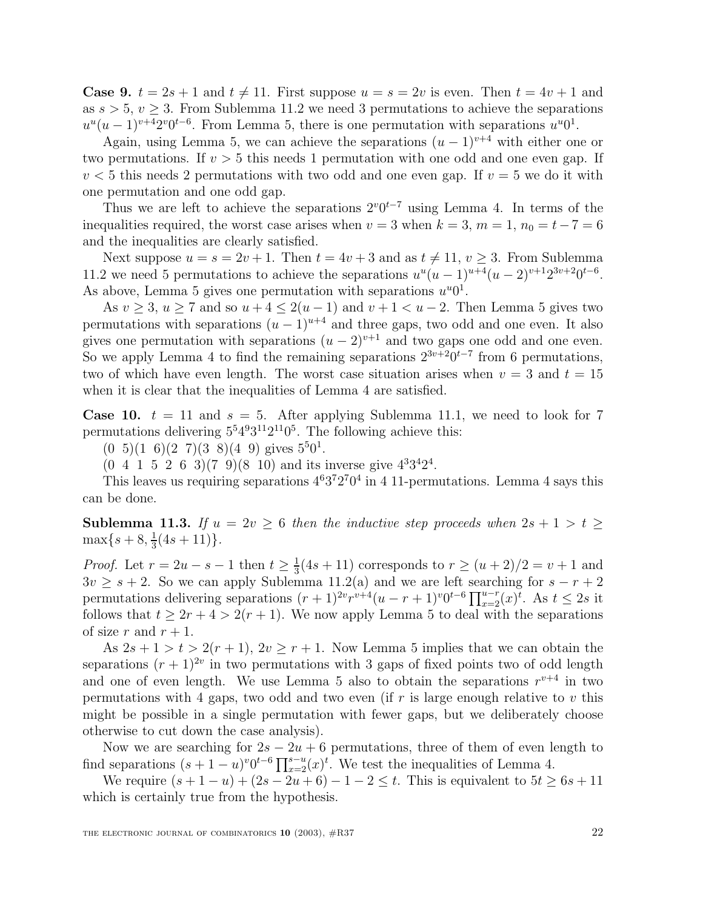**Case 9.**  $t = 2s + 1$  and  $t \neq 11$ . First suppose  $u = s = 2v$  is even. Then  $t = 4v + 1$  and as  $s > 5$ ,  $v > 3$ . From Sublemma 11.2 we need 3 permutations to achieve the separations  $u^{u}(u-1)^{v+4}2^{v}0^{t-6}$ . From Lemma 5, there is one permutation with separations  $u^{u}0^{1}$ .

Again, using Lemma 5, we can achieve the separations  $(u - 1)^{v+4}$  with either one or two permutations. If  $v > 5$  this needs 1 permutation with one odd and one even gap. If  $v < 5$  this needs 2 permutations with two odd and one even gap. If  $v = 5$  we do it with one permutation and one odd gap.

Thus we are left to achieve the separations  $2^{v}0^{t-7}$  using Lemma 4. In terms of the inequalities required, the worst case arises when  $v = 3$  when  $k = 3$ ,  $m = 1$ ,  $n_0 = t - 7 = 6$ and the inequalities are clearly satisfied.

Next suppose  $u = s = 2v + 1$ . Then  $t = 4v + 3$  and as  $t \neq 11$ ,  $v \geq 3$ . From Sublemma 11.2 we need 5 permutations to achieve the separations  $u^{u}(u - 1)^{u+4}(u - 2)^{v+1}2^{3v+2}0^{t-6}$ . As above, Lemma 5 gives one permutation with separations  $u^u0^1$ .

As  $v \geq 3$ ,  $u \geq 7$  and so  $u + 4 \leq 2(u - 1)$  and  $v + 1 < u - 2$ . Then Lemma 5 gives two permutations with separations  $(u - 1)^{u+4}$  and three gaps, two odd and one even. It also gives one permutation with separations  $(u - 2)^{v+1}$  and two gaps one odd and one even. So we apply Lemma 4 to find the remaining separations  $2^{3v+2}0^{t-7}$  from 6 permutations, two of which have even length. The worst case situation arises when  $v = 3$  and  $t = 15$ when it is clear that the inequalities of Lemma 4 are satisfied.

**Case 10.**  $t = 11$  and  $s = 5$ . After applying Sublemma 11.1, we need to look for 7 permutations delivering  $5^54^93^{11}2^{11}0^5$ . The following achieve this:

 $(0\ 5)(1\ 6)(2\ 7)(3\ 8)(4\ 9)$  gives  $5^50^1$ .

 $(0, 4, 1, 5, 2, 6, 3)$  $(7, 9)$  $(8, 10)$  and its inverse give  $4^{3}3^{4}2^{4}$ .

This leaves us requiring separations  $4^63^72^70^4$  in 4 11-permutations. Lemma 4 says this can be done.

**Sublemma 11.3.** If  $u = 2v \ge 6$  then the inductive step proceeds when  $2s + 1 > t \ge$  $\max\{s+8, \frac{1}{3}(4s+11)\}.$ 

*Proof.* Let  $r = 2u - s - 1$  then  $t \ge \frac{1}{3}(4s + 11)$  corresponds to  $r \ge (u + 2)/2 = v + 1$  and  $3v \geq s+2$ . So we can apply Sublemma 11.2(a) and we are left searching for  $s-r+2$ permutations delivering separations  $(r + 1)^{2v}r^{v+4}(u - r + 1)^{v}0^{t-6}\prod_{x=2}^{u-r}(x)^{t}$ . As  $t \leq 2s$  it follows that  $t > 2r + 4 > 2(r + 1)$ . We now apply Lemma 5 to deal with the separations of size r and  $r + 1$ .

As  $2s + 1 > t > 2(r + 1)$ ,  $2v \ge r + 1$ . Now Lemma 5 implies that we can obtain the separations  $(r + 1)^{2v}$  in two permutations with 3 gaps of fixed points two of odd length and one of even length. We use Lemma 5 also to obtain the separations  $r^{v+4}$  in two permutations with 4 gaps, two odd and two even (if  $r$  is large enough relative to  $v$  this might be possible in a single permutation with fewer gaps, but we deliberately choose otherwise to cut down the case analysis).

Now we are searching for  $2s - 2u + 6$  permutations, three of them of even length to find separations  $(s + 1 - u)^{v} 0^{t-6} \prod_{x=2}^{s-u} (x)^{t}$ . We test the inequalities of Lemma 4.

We require  $(s + 1 - u) + (2s - 2u + 6) - 1 - 2 \le t$ . This is equivalent to  $5t \ge 6s + 11$ which is certainly true from the hypothesis.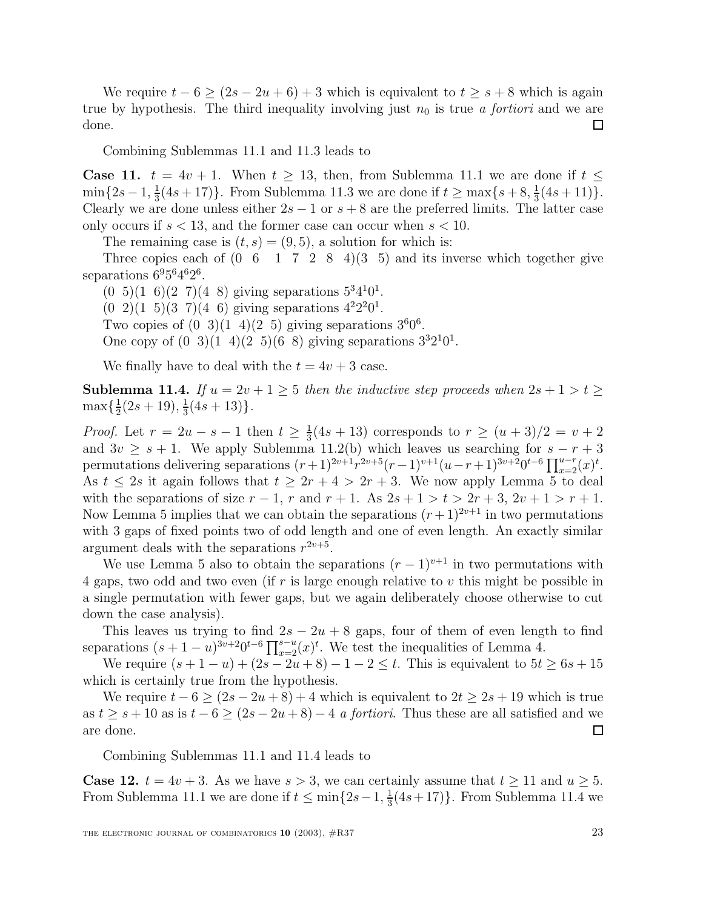We require  $t - 6 \ge (2s - 2u + 6) + 3$  which is equivalent to  $t \ge s + 8$  which is again true by hypothesis. The third inequality involving just  $n_0$  is true a fortiori and we are done.  $\Box$ 

Combining Sublemmas 11.1 and 11.3 leads to

**Case 11.**  $t = 4v + 1$ . When  $t \ge 13$ , then, from Sublemma 11.1 we are done if  $t \le$  $\min\{2s-1, \frac{1}{3}(4s+17)\}\.$  From Sublemma 11.3 we are done if  $t \ge \max\{s+8, \frac{1}{3}(4s+11)\}\.$ Clearly we are done unless either  $2s - 1$  or  $s + 8$  are the preferred limits. The latter case only occurs if  $s < 13$ , and the former case can occur when  $s < 10$ .

The remaining case is  $(t, s) = (9, 5)$ , a solution for which is:

Three copies each of  $(0 \t6 \t1 \t7 \t2 \t8 \t4)(3 \t5)$  and its inverse which together give separations  $6^95^64^62^6$ .

 $(0, 5)(1, 6)(2, 7)(4, 8)$  giving separations  $5^{3}4^{1}0^{1}$ .  $(0\ 2)(1\ 5)(3\ 7)(4\ 6)$  giving separations  $4^22^20^1$ . Two copies of  $(0 \t3)(1 \t4)(2 \t5)$  giving separations  $3^60^6$ . One copy of  $(0, 3)(1, 4)(2, 5)(6, 8)$  giving separations  $3^{3}2^{1}0^{1}$ .

We finally have to deal with the  $t = 4v + 3$  case.

**Sublemma 11.4.** If  $u = 2v + 1 \ge 5$  then the inductive step proceeds when  $2s + 1 > t \ge 5$  $\max\{\frac{1}{2}(2s+19),\frac{1}{3}(4s+13)\}.$ 

*Proof.* Let  $r = 2u - s - 1$  then  $t \ge \frac{1}{3}(4s + 13)$  corresponds to  $r \ge (u + 3)/2 = v + 2$ and  $3v \geq s + 1$ . We apply Sublemma 11.2(b) which leaves us searching for  $s - r + 3$ permutations delivering separations  $(r+1)^{2v+1}r^{2v+5}(r-1)^{v+1}(u-r+1)^{3v+2}0^{t-6}\prod_{x=2}^{u-r}(x)^{t}$ . As  $t \leq 2s$  it again follows that  $t \geq 2r + 4 > 2r + 3$ . We now apply Lemma 5 to deal with the separations of size  $r - 1$ , r and  $r + 1$ . As  $2s + 1 > t > 2r + 3$ ,  $2v + 1 > r + 1$ . Now Lemma 5 implies that we can obtain the separations  $(r+1)^{2v+1}$  in two permutations with 3 gaps of fixed points two of odd length and one of even length. An exactly similar argument deals with the separations  $r^{2v+5}$ .

We use Lemma 5 also to obtain the separations  $(r-1)^{v+1}$  in two permutations with 4 gaps, two odd and two even (if r is large enough relative to v this might be possible in a single permutation with fewer gaps, but we again deliberately choose otherwise to cut down the case analysis).

This leaves us trying to find  $2s - 2u + 8$  gaps, four of them of even length to find separations  $(s + 1 - u)^{3v+2} 0^{t-6} \prod_{x=2}^{s-u} (x)^t$ . We test the inequalities of Lemma 4.

We require  $(s + 1 - u) + (2s - 2u + 8) - 1 - 2 \le t$ . This is equivalent to  $5t \ge 6s + 15$ which is certainly true from the hypothesis.

We require  $t - 6 \ge (2s - 2u + 8) + 4$  which is equivalent to  $2t \ge 2s + 19$  which is true as  $t \geq s + 10$  as is  $t - 6 \geq (2s - 2u + 8) - 4$  a fortiori. Thus these are all satisfied and we are done.  $\Box$ 

Combining Sublemmas 11.1 and 11.4 leads to

**Case 12.**  $t = 4v + 3$ . As we have  $s > 3$ , we can certainly assume that  $t \ge 11$  and  $u \ge 5$ . From Sublemma 11.1 we are done if  $t \le \min\{2s-1, \frac{1}{3}(4s+17)\}\.$  From Sublemma 11.4 we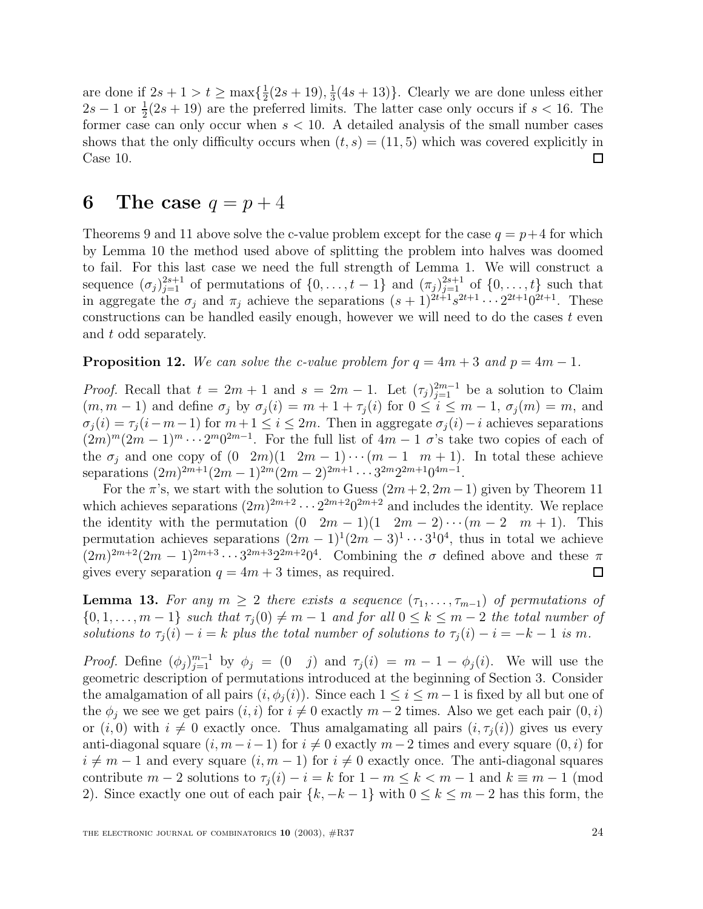are done if  $2s + 1 > t \ge \max\{\frac{1}{2}(2s + 19), \frac{1}{3}(4s + 13)\}\.$  Clearly we are done unless either  $2s-1$  or  $\frac{1}{2}(2s+19)$  are the preferred limits. The latter case only occurs if  $s < 16$ . The former case can only occur when  $s < 10$ . A detailed analysis of the small number cases shows that the only difficulty occurs when  $(t, s) = (11, 5)$  which was covered explicitly in Case 10. □

#### **6** The case  $q = p + 4$

Theorems 9 and 11 above solve the c-value problem except for the case  $q = p+4$  for which by Lemma 10 the method used above of splitting the problem into halves was doomed to fail. For this last case we need the full strength of Lemma 1. We will construct a sequence  $(\sigma_j)_{j=1}^{2s+1}$  of permutations of  $\{0,\ldots,t-1\}$  and  $(\pi_j)_{j=1}^{2s+1}$  of  $\{0,\ldots,t\}$  such that in aggregate the  $\sigma_j$  and  $\pi_j$  achieve the separations  $(s + 1)^{2t+1} s^{2t+1} \cdots 2^{2t+1} 0^{2t+1}$ . These constructions can be handled easily enough, however we will need to do the cases  $t$  even and t odd separately.

**Proposition 12.** We can solve the c-value problem for  $q = 4m + 3$  and  $p = 4m - 1$ .

*Proof.* Recall that  $t = 2m + 1$  and  $s = 2m - 1$ . Let  $(\tau_j)_{j=1}^{2m-1}$  be a solution to Claim  $(m, m - 1)$  and define  $\sigma_j$  by  $\sigma_j(i) = m + 1 + \tau_j(i)$  for  $0 \le i \le m - 1$ ,  $\sigma_j(m) = m$ , and  $\sigma_j(i) = \tau_j(i-m-1)$  for  $m+1 \leq i \leq 2m$ . Then in aggregate  $\sigma_j(i) - i$  achieves separations  $(2m)^m(2m-1)^m\cdots 2^m0^{2m-1}$ . For the full list of  $4m-1$  σ's take two copies of each of the  $\sigma_i$  and one copy of  $(0 \ 2m)(1 \ 2m-1)\cdots(m-1 \ m+1)$ . In total these achieve separations  $(2m)^{2m+1}(2m-1)^{2m}(2m-2)^{2m+1}\cdots 3^{2m}2^{2m+1}0^{4m-1}$ .

For the  $\pi$ 's, we start with the solution to Guess  $(2m+2, 2m-1)$  given by Theorem 11 which achieves separations  $(2m)^{2m+2} \cdots 2^{2m+2} 0^{2m+2}$  and includes the identity. We replace the identity with the permutation  $(0 \ 2m - 1)(1 \ 2m - 2) \cdots (m - 2 \ m + 1)$ . This permutation achieves separations  $(2m - 1)^1(2m - 3)^1 \cdots 3^10^4$ , thus in total we achieve  $(2m)^{2m+2}(2m-1)^{2m+3}\cdots 3^{2m+3}2^{2m+2}0^4$ . Combining the  $\sigma$  defined above and these  $\pi$ gives every separation  $q = 4m + 3$  times, as required.  $\Box$ 

**Lemma 13.** For any  $m \geq 2$  there exists a sequence  $(\tau_1, \ldots, \tau_{m-1})$  of permutations of  ${0, 1, ..., m-1}$  such that  $\tau_j(0) \neq m-1$  and for all  $0 \leq k \leq m-2$  the total number of solutions to  $\tau_i(i) - i = k$  plus the total number of solutions to  $\tau_i(i) - i = -k - 1$  is m.

*Proof.* Define  $(\phi_j)_{j=1}^{m-1}$  by  $\phi_j = (0 \quad j)$  and  $\tau_j(i) = m - 1 - \phi_j(i)$ . We will use the geometric description of permutations introduced at the beginning of Section 3. Consider the amalgamation of all pairs  $(i, \phi_i(i))$ . Since each  $1 \leq i \leq m-1$  is fixed by all but one of the  $\phi_j$  we see we get pairs  $(i, i)$  for  $i \neq 0$  exactly  $m - 2$  times. Also we get each pair  $(0, i)$ or  $(i, 0)$  with  $i \neq 0$  exactly once. Thus amalgamating all pairs  $(i, \tau_i(i))$  gives us every anti-diagonal square  $(i, m-i-1)$  for  $i \neq 0$  exactly  $m-2$  times and every square  $(0, i)$  for  $i \neq m - 1$  and every square  $(i, m - 1)$  for  $i \neq 0$  exactly once. The anti-diagonal squares contribute  $m-2$  solutions to  $\tau_i(i) - i = k$  for  $1 - m \leq k < m-1$  and  $k \equiv m-1$  (mod 2). Since exactly one out of each pair  $\{k, -k-1\}$  with  $0 \le k \le m-2$  has this form, the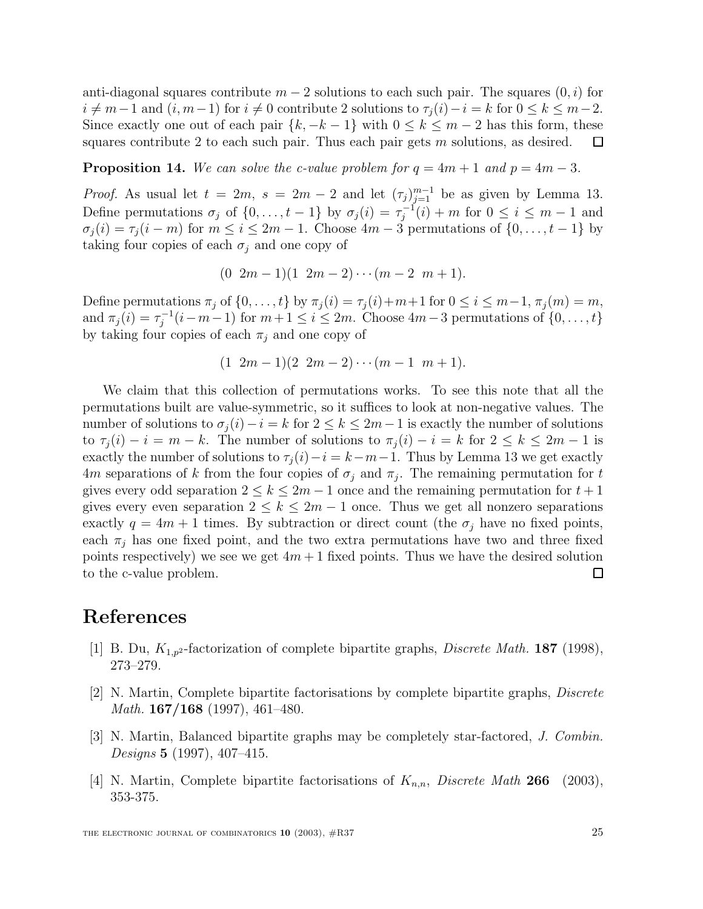anti-diagonal squares contribute  $m-2$  solutions to each such pair. The squares  $(0, i)$  for  $i \neq m-1$  and  $(i, m-1)$  for  $i \neq 0$  contribute 2 solutions to  $\tau_i(i) - i = k$  for  $0 \leq k \leq m-2$ . Since exactly one out of each pair  $\{k, -k-1\}$  with  $0 \leq k \leq m-2$  has this form, these squares contribute 2 to each such pair. Thus each pair gets m solutions, as desired.  $\Box$ 

**Proposition 14.** We can solve the c-value problem for  $q = 4m + 1$  and  $p = 4m - 3$ .

*Proof.* As usual let  $t = 2m$ ,  $s = 2m - 2$  and let  $(\tau_j)_{j=1}^{m-1}$  be as given by Lemma 13. Define permutations  $\sigma_j$  of  $\{0, \ldots, t-1\}$  by  $\sigma_j(i) = \tau_j^{-1}(i) + m$  for  $0 \le i \le m-1$  and  $\sigma_j(i) = \tau_j(i-m)$  for  $m \leq i \leq 2m-1$ . Choose  $4m-3$  permutations of  $\{0,\ldots,t-1\}$  by taking four copies of each  $\sigma_i$  and one copy of

$$
(0 \ 2m-1)(1 \ 2m-2)\cdots(m-2 \ m+1).
$$

Define permutations  $\pi_j$  of  $\{0,\ldots,t\}$  by  $\pi_j(i) = \tau_j(i)+m+1$  for  $0 \le i \le m-1$ ,  $\pi_j(m) = m$ , and  $\pi_j(i) = \tau_j^{-1}(i-m-1)$  for  $m+1 \leq i \leq 2m$ . Choose  $4m-3$  permutations of  $\{0, \ldots, t\}$ by taking four copies of each  $\pi_i$  and one copy of

$$
(1 \ 2m-1)(2 \ 2m-2)\cdots(m-1 \ m+1).
$$

We claim that this collection of permutations works. To see this note that all the permutations built are value-symmetric, so it suffices to look at non-negative values. The number of solutions to  $\sigma_i(i) - i = k$  for  $2 \leq k \leq 2m-1$  is exactly the number of solutions to  $\tau_i(i) - i = m - k$ . The number of solutions to  $\pi_i(i) - i = k$  for  $2 \leq k \leq 2m - 1$  is exactly the number of solutions to  $\tau_i(i) - i = k - m - 1$ . Thus by Lemma 13 we get exactly 4m separations of k from the four copies of  $\sigma_i$  and  $\pi_j$ . The remaining permutation for t gives every odd separation  $2 \leq k \leq 2m-1$  once and the remaining permutation for  $t+1$ gives every even separation  $2 \leq k \leq 2m-1$  once. Thus we get all nonzero separations exactly  $q = 4m + 1$  times. By subtraction or direct count (the  $\sigma_i$  have no fixed points, each  $\pi_j$  has one fixed point, and the two extra permutations have two and three fixed points respectively) we see we get  $4m+1$  fixed points. Thus we have the desired solution to the c-value problem.  $\Box$ 

#### **References**

- [1] B. Du, K1,p<sup>2</sup>-factorization of complete bipartite graphs, Discrete Math. **187** (1998), 273–279.
- [2] N. Martin, Complete bipartite factorisations by complete bipartite graphs, Discrete Math. **167/168** (1997), 461–480.
- [3] N. Martin, Balanced bipartite graphs may be completely star-factored, J. Combin. Designs **5** (1997), 407–415.
- [4] N. Martin, Complete bipartite factorisations of  $K_{n,n}$ , Discrete Math 266 (2003), 353-375.